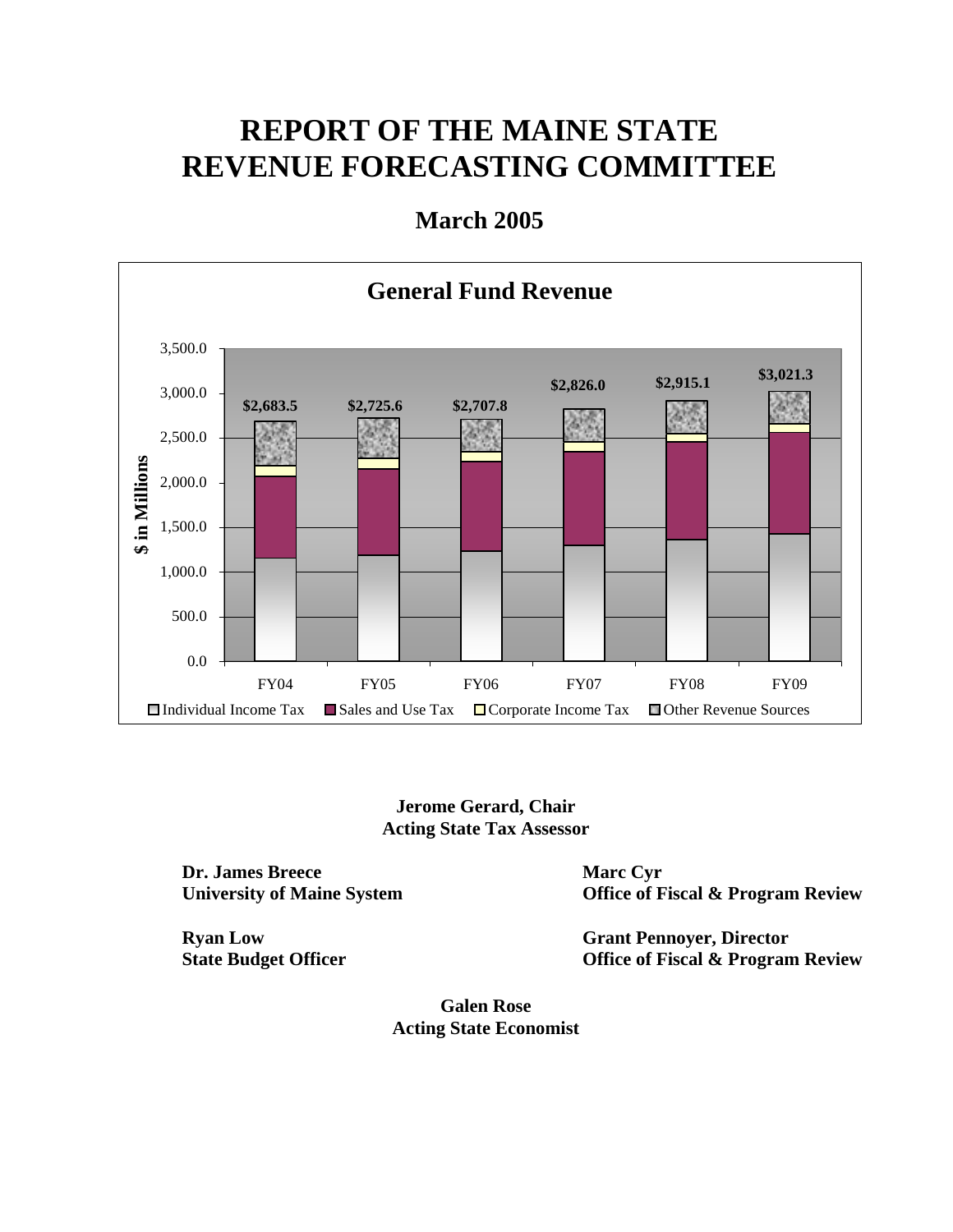# **REPORT OF THE MAINE STATE REVENUE FORECASTING COMMITTEE**

## **March 2005**



## **Jerome Gerard, Chair Acting State Tax Assessor**

**Dr. James Breece University of Maine System** 

**Ryan Low State Budget Officer**  **Marc Cyr Office of Fiscal & Program Review** 

**Grant Pennoyer, Director Office of Fiscal & Program Review** 

**Galen Rose Acting State Economist**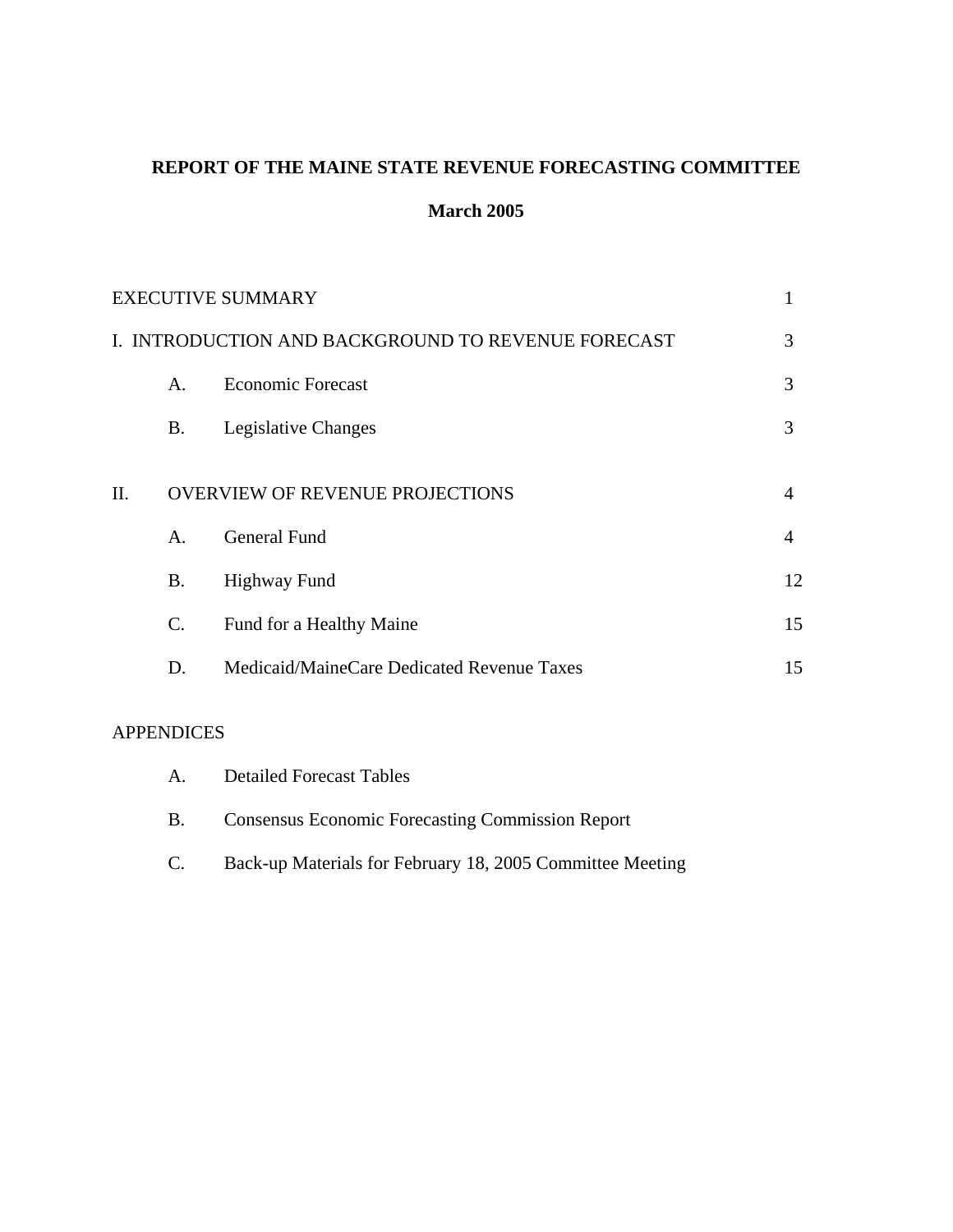## **REPORT OF THE MAINE STATE REVENUE FORECASTING COMMITTEE**

## **March 2005**

|    |                | <b>EXECUTIVE SUMMARY</b>                           | 1  |
|----|----------------|----------------------------------------------------|----|
|    |                | I. INTRODUCTION AND BACKGROUND TO REVENUE FORECAST | 3  |
|    | $\mathsf{A}$ . | <b>Economic Forecast</b>                           | 3  |
|    | <b>B.</b>      | Legislative Changes                                | 3  |
| Π. |                | <b>OVERVIEW OF REVENUE PROJECTIONS</b>             | 4  |
|    | $\mathsf{A}$ . | General Fund                                       | 4  |
|    | <b>B.</b>      | <b>Highway Fund</b>                                | 12 |
|    | C.             | Fund for a Healthy Maine                           | 15 |
|    | D.             | Medicaid/MaineCare Dedicated Revenue Taxes         | 15 |
|    |                |                                                    |    |

## APPENDICES

| A.        | <b>Detailed Forecast Tables</b>                           |
|-----------|-----------------------------------------------------------|
| <b>B.</b> | <b>Consensus Economic Forecasting Commission Report</b>   |
| C.        | Back-up Materials for February 18, 2005 Committee Meeting |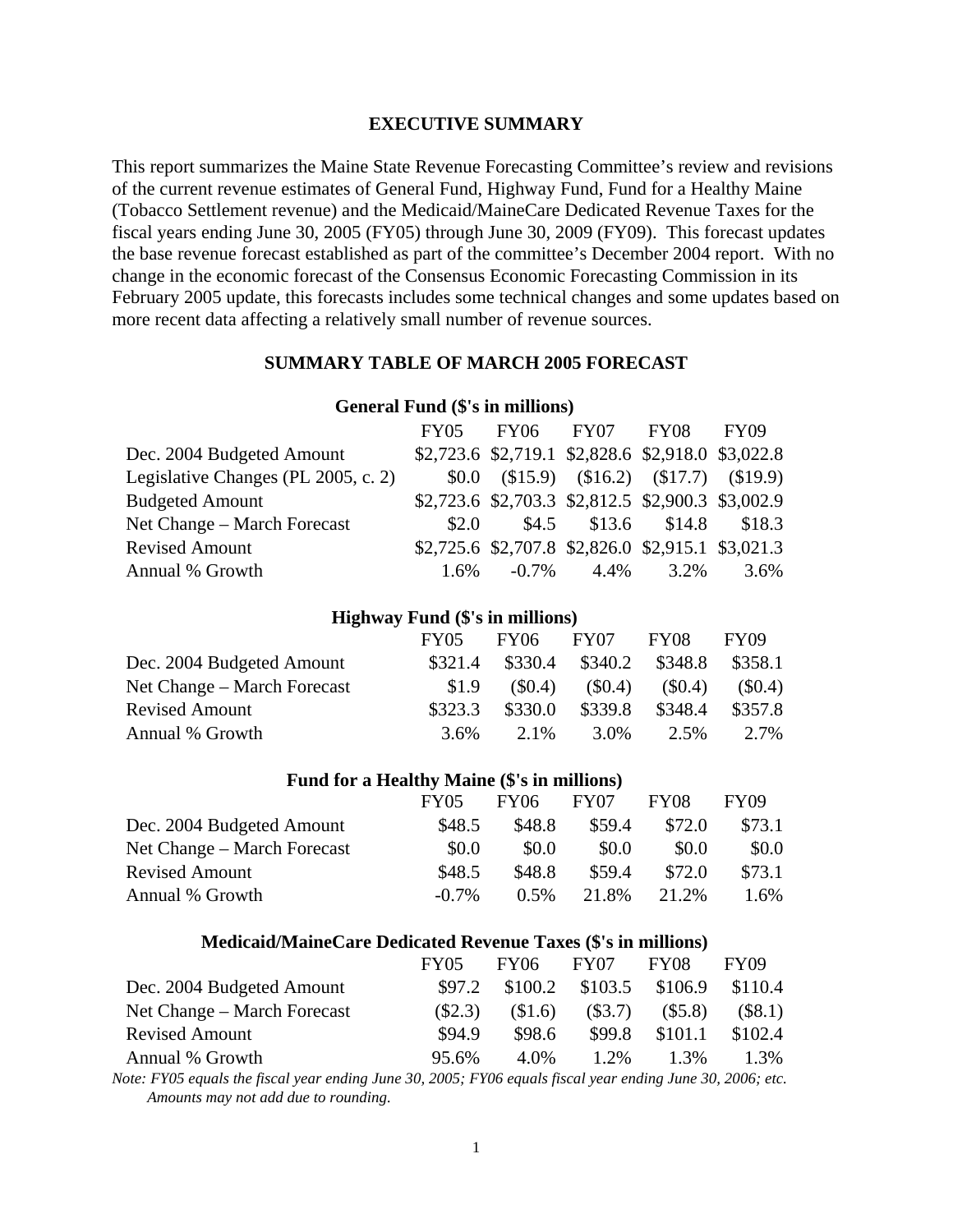#### **EXECUTIVE SUMMARY**

This report summarizes the Maine State Revenue Forecasting Committee's review and revisions of the current revenue estimates of General Fund, Highway Fund, Fund for a Healthy Maine (Tobacco Settlement revenue) and the Medicaid/MaineCare Dedicated Revenue Taxes for the fiscal years ending June 30, 2005 (FY05) through June 30, 2009 (FY09). This forecast updates the base revenue forecast established as part of the committee's December 2004 report. With no change in the economic forecast of the Consensus Economic Forecasting Commission in its February 2005 update, this forecasts includes some technical changes and some updates based on more recent data affecting a relatively small number of revenue sources.

#### **SUMMARY TABLE OF MARCH 2005 FORECAST**

## FY05 FY06 FY07 FY08 FY09 Dec. 2004 Budgeted Amount \$2,723.6 \$2,719.1 \$2,828.6 \$2,918.0 \$3,022.8 Legislative Changes (PL 2005, c. 2) \$0.0 (\$15.9) (\$16.2) (\$17.7) (\$19.9) Budgeted Amount \$2,723.6 \$2,703.3 \$2,812.5 \$2,900.3 \$3,002.9 Net Change – March Forecast  $$2.0$   $$4.5$   $$13.6$   $$14.8$   $$18.3$ Revised Amount \$2,725.6 \$2,707.8 \$2,826.0 \$2,915.1 \$3,021.3 Annual % Growth 1.6% -0.7% 4.4% 3.2% 3.6%

**General Fund (\$'s in millions)** 

#### **Highway Fund (\$'s in millions)**

|                             | <b>FY05</b> | FY06      | FY07      | FY08      | FY09      |
|-----------------------------|-------------|-----------|-----------|-----------|-----------|
| Dec. 2004 Budgeted Amount   | \$321.4     | \$330.4   | \$340.2   | \$348.8   | \$358.1   |
| Net Change – March Forecast | \$1.9       | $(\$0.4)$ | $(\$0.4)$ | $(\$0.4)$ | $(\$0.4)$ |
| <b>Revised Amount</b>       | \$323.3     | \$330.0   | \$339.8   | \$348.4   | \$357.8   |
| Annual % Growth             | $3.6\%$     | 2.1%      | 3.0%      | 2.5%      | 2.7%      |

#### **Fund for a Healthy Maine (\$'s in millions)**

|                             | <b>FY05</b> | <b>FY06</b> | FY07   | FY08   | FY09   |
|-----------------------------|-------------|-------------|--------|--------|--------|
| Dec. 2004 Budgeted Amount   | \$48.5      | \$48.8      | \$59.4 | \$72.0 | \$73.1 |
| Net Change – March Forecast | \$0.0       | \$0.0       | \$0.0  | \$0.0  | \$0.0  |
| <b>Revised Amount</b>       | \$48.5      | \$48.8      | \$59.4 | \$72.0 | \$73.1 |
| Annual % Growth             | $-0.7\%$    | $0.5\%$     | 21.8%  | 21.2%  | 1.6%   |

#### **Medicaid/MaineCare Dedicated Revenue Taxes (\$'s in millions)**

|                             | <b>FY05</b> | FY06    | FY07      | FY08    | FY09      |
|-----------------------------|-------------|---------|-----------|---------|-----------|
| Dec. 2004 Budgeted Amount   | \$97.2      | \$100.2 | \$103.5   | \$106.9 | \$110.4   |
| Net Change – March Forecast | (S2.3)      | \$1.6   | $(\$3.7)$ | (\$5.8) | $(\$8.1)$ |
| <b>Revised Amount</b>       | \$94.9      | \$98.6  | \$99.8    | \$101.1 | \$102.4   |
| Annual % Growth             | 95.6%       | 4.0%    | $1.2\%$   | $1.3\%$ | 1.3%      |
|                             |             |         |           |         |           |

*Note: FY05 equals the fiscal year ending June 30, 2005; FY06 equals fiscal year ending June 30, 2006; etc. Amounts may not add due to rounding.*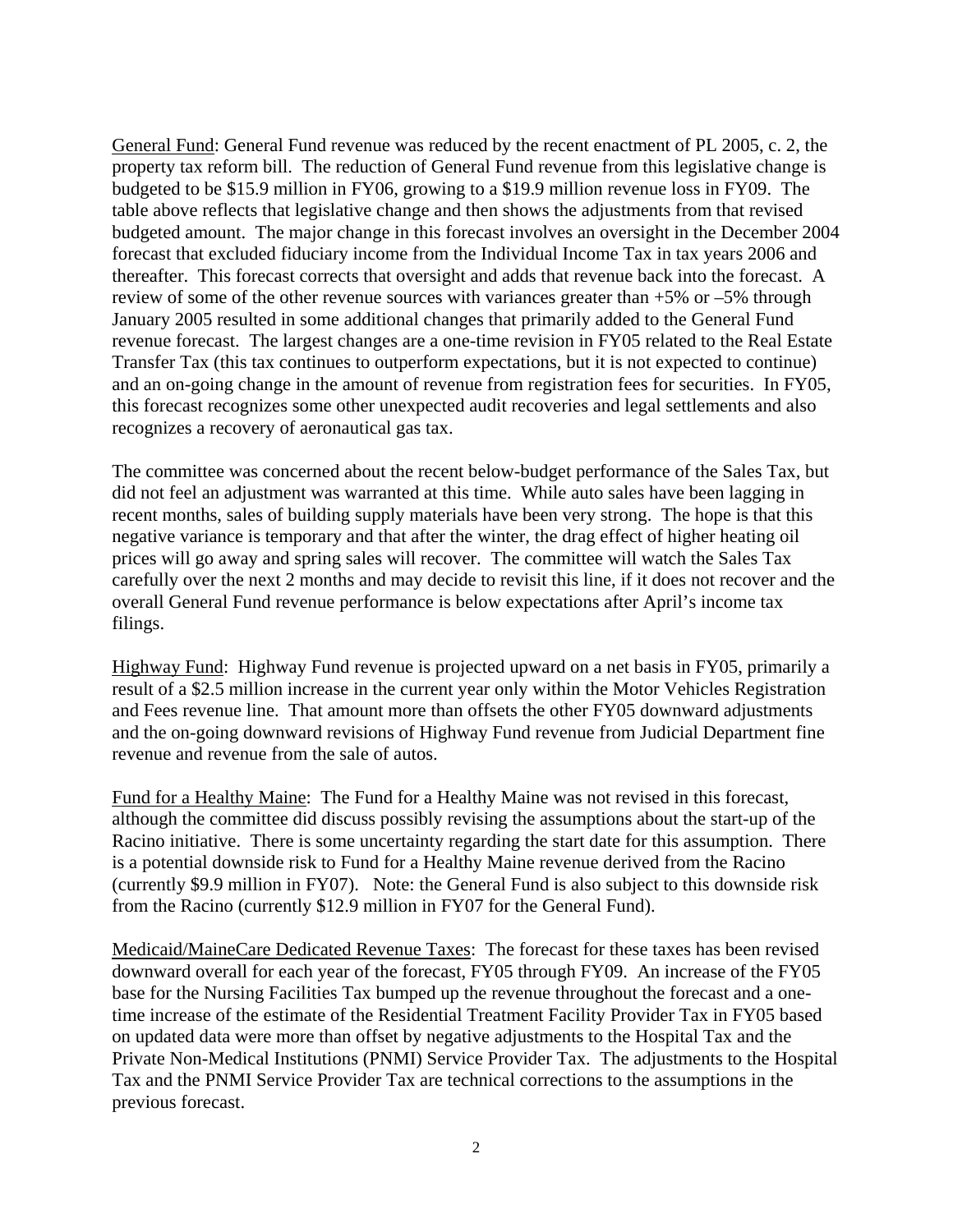General Fund: General Fund revenue was reduced by the recent enactment of PL 2005, c. 2, the property tax reform bill. The reduction of General Fund revenue from this legislative change is budgeted to be \$15.9 million in FY06, growing to a \$19.9 million revenue loss in FY09. The table above reflects that legislative change and then shows the adjustments from that revised budgeted amount. The major change in this forecast involves an oversight in the December 2004 forecast that excluded fiduciary income from the Individual Income Tax in tax years 2006 and thereafter. This forecast corrects that oversight and adds that revenue back into the forecast. A review of some of the other revenue sources with variances greater than +5% or –5% through January 2005 resulted in some additional changes that primarily added to the General Fund revenue forecast. The largest changes are a one-time revision in FY05 related to the Real Estate Transfer Tax (this tax continues to outperform expectations, but it is not expected to continue) and an on-going change in the amount of revenue from registration fees for securities. In FY05, this forecast recognizes some other unexpected audit recoveries and legal settlements and also recognizes a recovery of aeronautical gas tax.

The committee was concerned about the recent below-budget performance of the Sales Tax, but did not feel an adjustment was warranted at this time. While auto sales have been lagging in recent months, sales of building supply materials have been very strong. The hope is that this negative variance is temporary and that after the winter, the drag effect of higher heating oil prices will go away and spring sales will recover. The committee will watch the Sales Tax carefully over the next 2 months and may decide to revisit this line, if it does not recover and the overall General Fund revenue performance is below expectations after April's income tax filings.

Highway Fund: Highway Fund revenue is projected upward on a net basis in FY05, primarily a result of a \$2.5 million increase in the current year only within the Motor Vehicles Registration and Fees revenue line. That amount more than offsets the other FY05 downward adjustments and the on-going downward revisions of Highway Fund revenue from Judicial Department fine revenue and revenue from the sale of autos.

Fund for a Healthy Maine: The Fund for a Healthy Maine was not revised in this forecast, although the committee did discuss possibly revising the assumptions about the start-up of the Racino initiative. There is some uncertainty regarding the start date for this assumption. There is a potential downside risk to Fund for a Healthy Maine revenue derived from the Racino (currently \$9.9 million in FY07). Note: the General Fund is also subject to this downside risk from the Racino (currently \$12.9 million in FY07 for the General Fund).

Medicaid/MaineCare Dedicated Revenue Taxes: The forecast for these taxes has been revised downward overall for each year of the forecast, FY05 through FY09. An increase of the FY05 base for the Nursing Facilities Tax bumped up the revenue throughout the forecast and a onetime increase of the estimate of the Residential Treatment Facility Provider Tax in FY05 based on updated data were more than offset by negative adjustments to the Hospital Tax and the Private Non-Medical Institutions (PNMI) Service Provider Tax. The adjustments to the Hospital Tax and the PNMI Service Provider Tax are technical corrections to the assumptions in the previous forecast.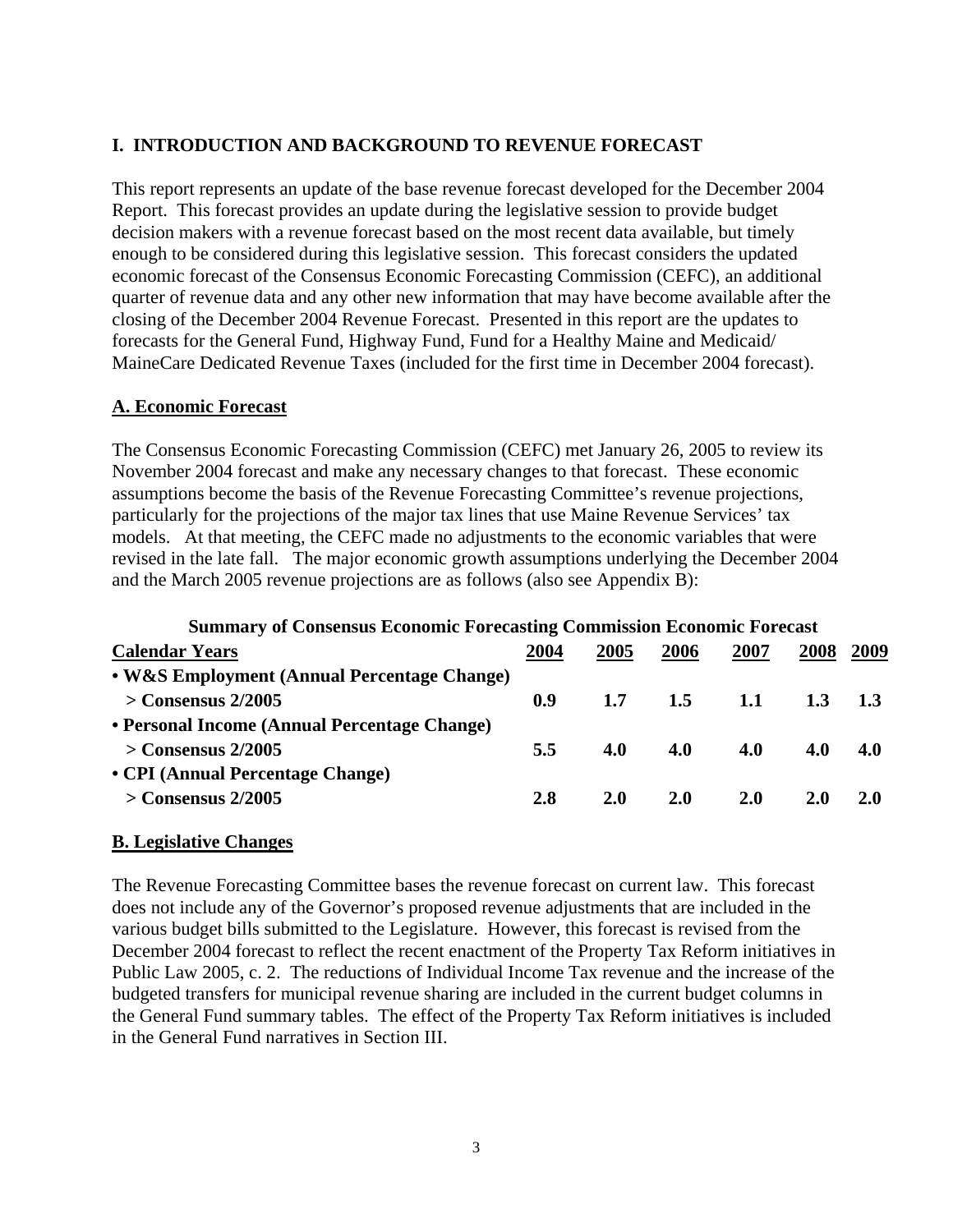## **I. INTRODUCTION AND BACKGROUND TO REVENUE FORECAST**

This report represents an update of the base revenue forecast developed for the December 2004 Report. This forecast provides an update during the legislative session to provide budget decision makers with a revenue forecast based on the most recent data available, but timely enough to be considered during this legislative session. This forecast considers the updated economic forecast of the Consensus Economic Forecasting Commission (CEFC), an additional quarter of revenue data and any other new information that may have become available after the closing of the December 2004 Revenue Forecast. Presented in this report are the updates to forecasts for the General Fund, Highway Fund, Fund for a Healthy Maine and Medicaid/ MaineCare Dedicated Revenue Taxes (included for the first time in December 2004 forecast).

## **A. Economic Forecast**

The Consensus Economic Forecasting Commission (CEFC) met January 26, 2005 to review its November 2004 forecast and make any necessary changes to that forecast. These economic assumptions become the basis of the Revenue Forecasting Committee's revenue projections, particularly for the projections of the major tax lines that use Maine Revenue Services' tax models. At that meeting, the CEFC made no adjustments to the economic variables that were revised in the late fall. The major economic growth assumptions underlying the December 2004 and the March 2005 revenue projections are as follows (also see Appendix B):

## **Summary of Consensus Economic Forecasting Commission Economic Forecast**

| <b>Calendar Years</b>                        | 2004 | 2005       | 2006       | 2007       | 2008       | 2009       |
|----------------------------------------------|------|------------|------------|------------|------------|------------|
| • W&S Employment (Annual Percentage Change)  |      |            |            |            |            |            |
| $>$ Consensus 2/2005                         | 0.9  | 1.7        | 1.5        | 1.1        |            |            |
| • Personal Income (Annual Percentage Change) |      |            |            |            |            |            |
| $>$ Consensus 2/2005                         | 5.5  | 4.0        | 4.0        | 4.0        | <b>4.0</b> | <b>4.0</b> |
| • CPI (Annual Percentage Change)             |      |            |            |            |            |            |
| $>$ Consensus 2/2005                         | 2.8  | <b>2.0</b> | <b>2.0</b> | <b>2.0</b> | <b>2.0</b> | <b>2.0</b> |
|                                              |      |            |            |            |            |            |

## **B. Legislative Changes**

The Revenue Forecasting Committee bases the revenue forecast on current law. This forecast does not include any of the Governor's proposed revenue adjustments that are included in the various budget bills submitted to the Legislature. However, this forecast is revised from the December 2004 forecast to reflect the recent enactment of the Property Tax Reform initiatives in Public Law 2005, c. 2. The reductions of Individual Income Tax revenue and the increase of the budgeted transfers for municipal revenue sharing are included in the current budget columns in the General Fund summary tables. The effect of the Property Tax Reform initiatives is included in the General Fund narratives in Section III.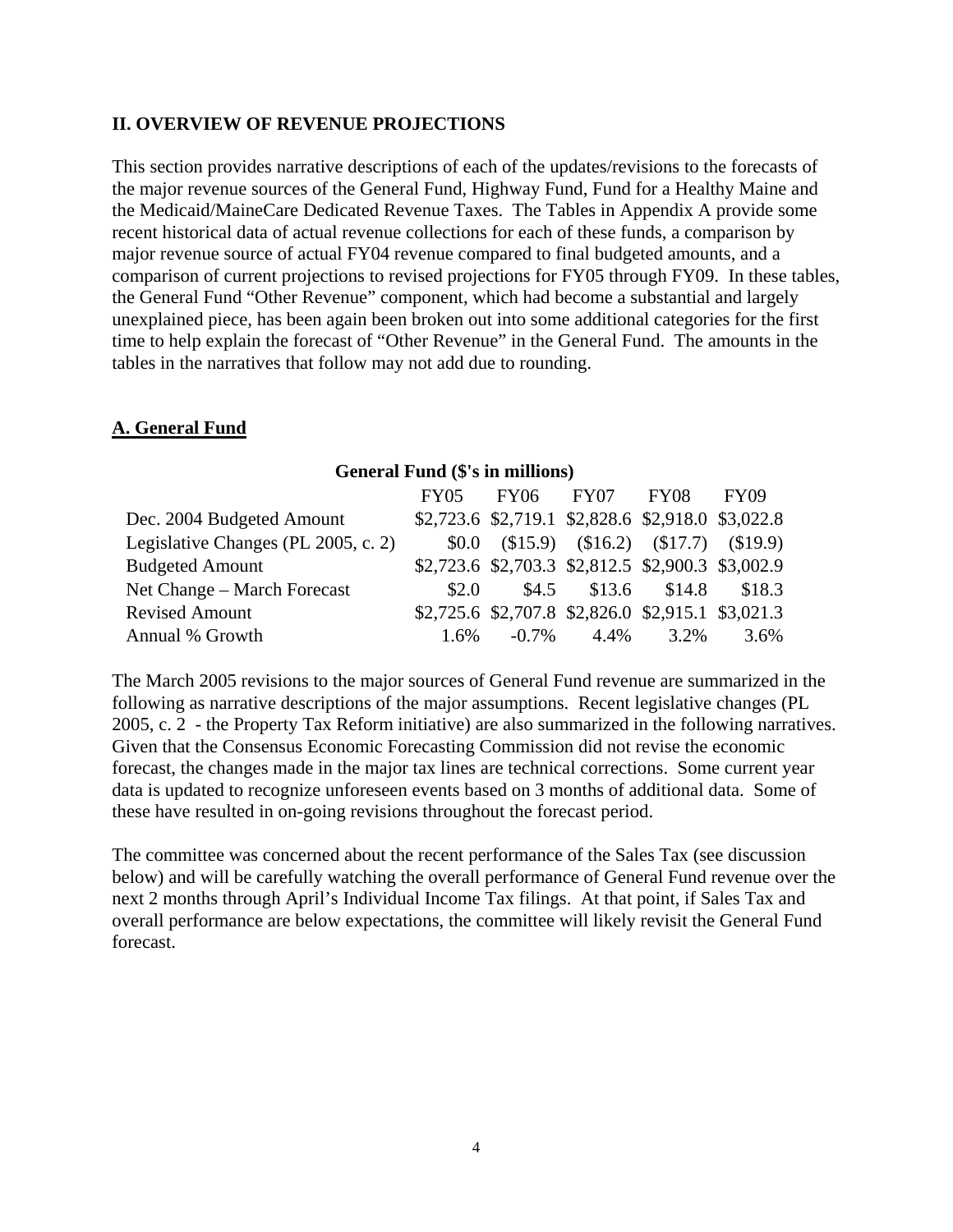## **II. OVERVIEW OF REVENUE PROJECTIONS**

This section provides narrative descriptions of each of the updates/revisions to the forecasts of the major revenue sources of the General Fund, Highway Fund, Fund for a Healthy Maine and the Medicaid/MaineCare Dedicated Revenue Taxes. The Tables in Appendix A provide some recent historical data of actual revenue collections for each of these funds, a comparison by major revenue source of actual FY04 revenue compared to final budgeted amounts, and a comparison of current projections to revised projections for FY05 through FY09. In these tables, the General Fund "Other Revenue" component, which had become a substantial and largely unexplained piece, has been again been broken out into some additional categories for the first time to help explain the forecast of "Other Revenue" in the General Fund. The amounts in the tables in the narratives that follow may not add due to rounding.

## **A. General Fund**

## **General Fund (\$'s in millions)**

|                                     | <b>FY05</b> | FY06 FY07 FY08                                    |      | FY09 |
|-------------------------------------|-------------|---------------------------------------------------|------|------|
| Dec. 2004 Budgeted Amount           |             | \$2,723.6 \$2,719.1 \$2,828.6 \$2,918.0 \$3,022.8 |      |      |
| Legislative Changes (PL 2005, c. 2) |             | $$0.0$ $$15.9$ $$16.2$ $$17.7$ $$19.9$            |      |      |
| <b>Budgeted Amount</b>              |             | \$2,723.6 \$2,703.3 \$2,812.5 \$2,900.3 \$3,002.9 |      |      |
| Net Change – March Forecast         | \$2.0       | \$4.5 \$13.6 \$14.8 \$18.3                        |      |      |
| <b>Revised Amount</b>               |             | \$2,725.6 \$2,707.8 \$2,826.0 \$2,915.1 \$3,021.3 |      |      |
| Annual % Growth                     | 1.6%        | $-0.7\%$ 4.4%                                     | 3.2% | 3.6% |

The March 2005 revisions to the major sources of General Fund revenue are summarized in the following as narrative descriptions of the major assumptions. Recent legislative changes (PL 2005, c. 2 - the Property Tax Reform initiative) are also summarized in the following narratives. Given that the Consensus Economic Forecasting Commission did not revise the economic forecast, the changes made in the major tax lines are technical corrections. Some current year data is updated to recognize unforeseen events based on 3 months of additional data. Some of these have resulted in on-going revisions throughout the forecast period.

The committee was concerned about the recent performance of the Sales Tax (see discussion below) and will be carefully watching the overall performance of General Fund revenue over the next 2 months through April's Individual Income Tax filings. At that point, if Sales Tax and overall performance are below expectations, the committee will likely revisit the General Fund forecast.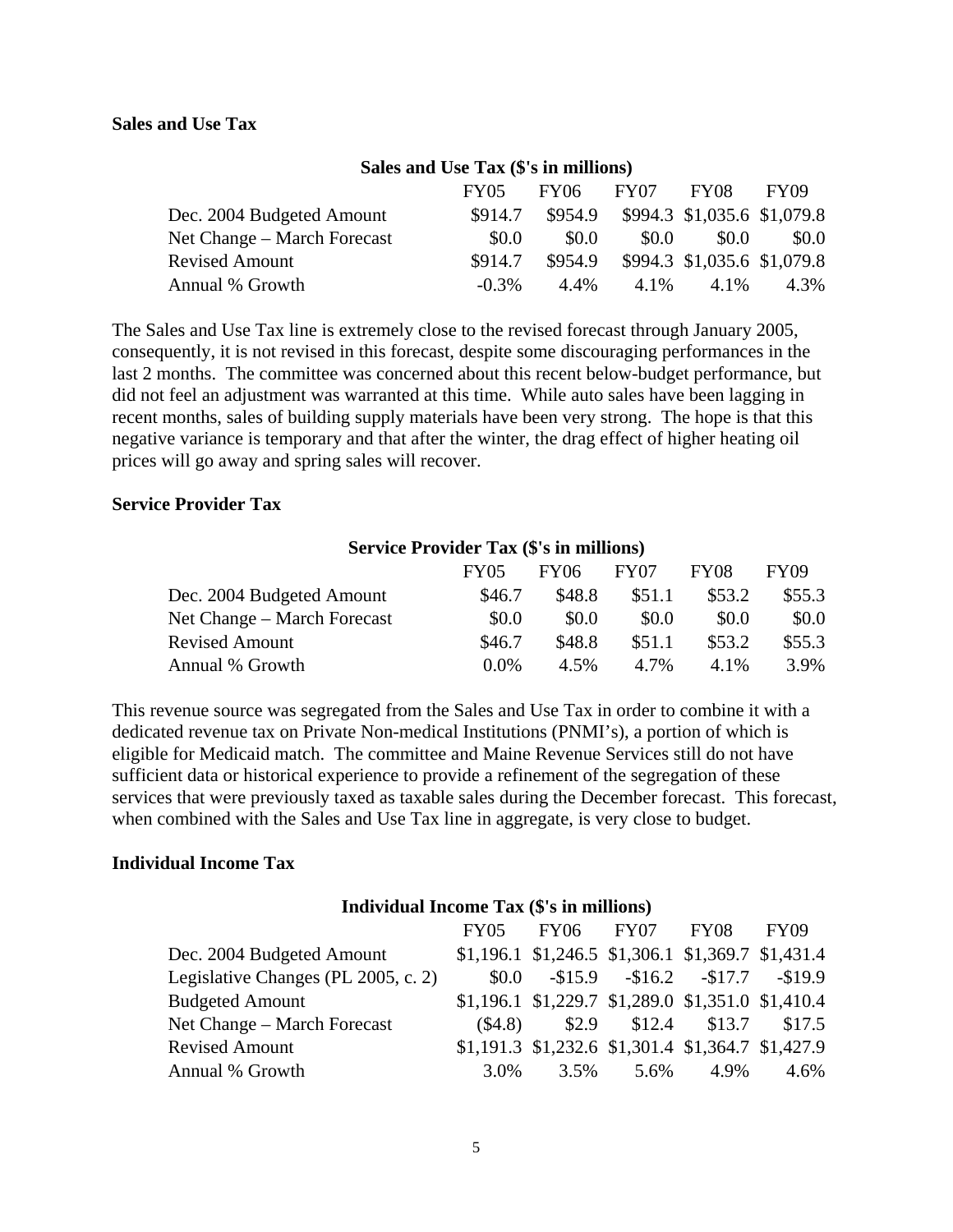### **Sales and Use Tax**

| Sales and Use Tax (\$'s in millions) |          |         |       |                                     |             |  |
|--------------------------------------|----------|---------|-------|-------------------------------------|-------------|--|
|                                      | FY05     | FY06    | FY07  | FY08                                | <b>FY09</b> |  |
| Dec. 2004 Budgeted Amount            | \$914.7  |         |       | \$954.9 \$994.3 \$1,035.6 \$1,079.8 |             |  |
| Net Change – March Forecast          | \$0.0    | \$0.0   | \$0.0 | \$0.0                               | <b>SO.O</b> |  |
| <b>Revised Amount</b>                | \$914.7  | \$954.9 |       | \$994.3 \$1,035.6 \$1,079.8         |             |  |
| Annual % Growth                      | $-0.3\%$ | 4.4%    | 4.1%  | 4.1%                                | 4.3%        |  |

#### **Sales and Use Tax (\$'s in millions)**

The Sales and Use Tax line is extremely close to the revised forecast through January 2005, consequently, it is not revised in this forecast, despite some discouraging performances in the last 2 months. The committee was concerned about this recent below-budget performance, but did not feel an adjustment was warranted at this time. While auto sales have been lagging in recent months, sales of building supply materials have been very strong. The hope is that this negative variance is temporary and that after the winter, the drag effect of higher heating oil prices will go away and spring sales will recover.

#### **Service Provider Tax**

#### **Service Provider Tax (\$'s in millions)**

|                             | <b>FY05</b> | <b>FY06</b> | FY07   | FY08   | FY09   |
|-----------------------------|-------------|-------------|--------|--------|--------|
| Dec. 2004 Budgeted Amount   | \$46.7      | \$48.8      | \$51.1 | \$53.2 | \$55.3 |
| Net Change – March Forecast | \$0.0       | \$0.0       | \$0.0  | \$0.0  | \$0.0  |
| <b>Revised Amount</b>       | \$46.7      | \$48.8      | \$51.1 | \$53.2 | \$55.3 |
| Annual % Growth             | $0.0\%$     | 4.5%        | 4.7%   | 4.1%   | 3.9%   |

This revenue source was segregated from the Sales and Use Tax in order to combine it with a dedicated revenue tax on Private Non-medical Institutions (PNMI's), a portion of which is eligible for Medicaid match. The committee and Maine Revenue Services still do not have sufficient data or historical experience to provide a refinement of the segregation of these services that were previously taxed as taxable sales during the December forecast. This forecast, when combined with the Sales and Use Tax line in aggregate, is very close to budget.

#### **Individual Income Tax**

#### **Individual Income Tax (\$'s in millions)**

|                                     |      | FY05 FY06 FY07 FY08                                    |              |      | <b>FY09</b> |
|-------------------------------------|------|--------------------------------------------------------|--------------|------|-------------|
| Dec. 2004 Budgeted Amount           |      | $$1,196.1$ $$1,246.5$ $$1,306.1$ $$1,369.7$ $$1,431.4$ |              |      |             |
| Legislative Changes (PL 2005, c. 2) |      | $$0.0$ $$15.9$ $$16.2$ $$17.7$ $$19.9$                 |              |      |             |
| <b>Budgeted Amount</b>              |      | $$1,196.1$ $$1,229.7$ $$1,289.0$ $$1,351.0$ $$1,410.4$ |              |      |             |
| Net Change – March Forecast         |      | $\$4.8$ $\$2.9$ $\$12.4$ $\$13.7$ $\$17.5$             |              |      |             |
| <b>Revised Amount</b>               |      | \$1,191.3 \$1,232.6 \$1,301.4 \$1,364.7 \$1,427.9      |              |      |             |
| Annual % Growth                     | 3.0% |                                                        | $3.5\%$ 5.6% | 4.9% | 4.6%        |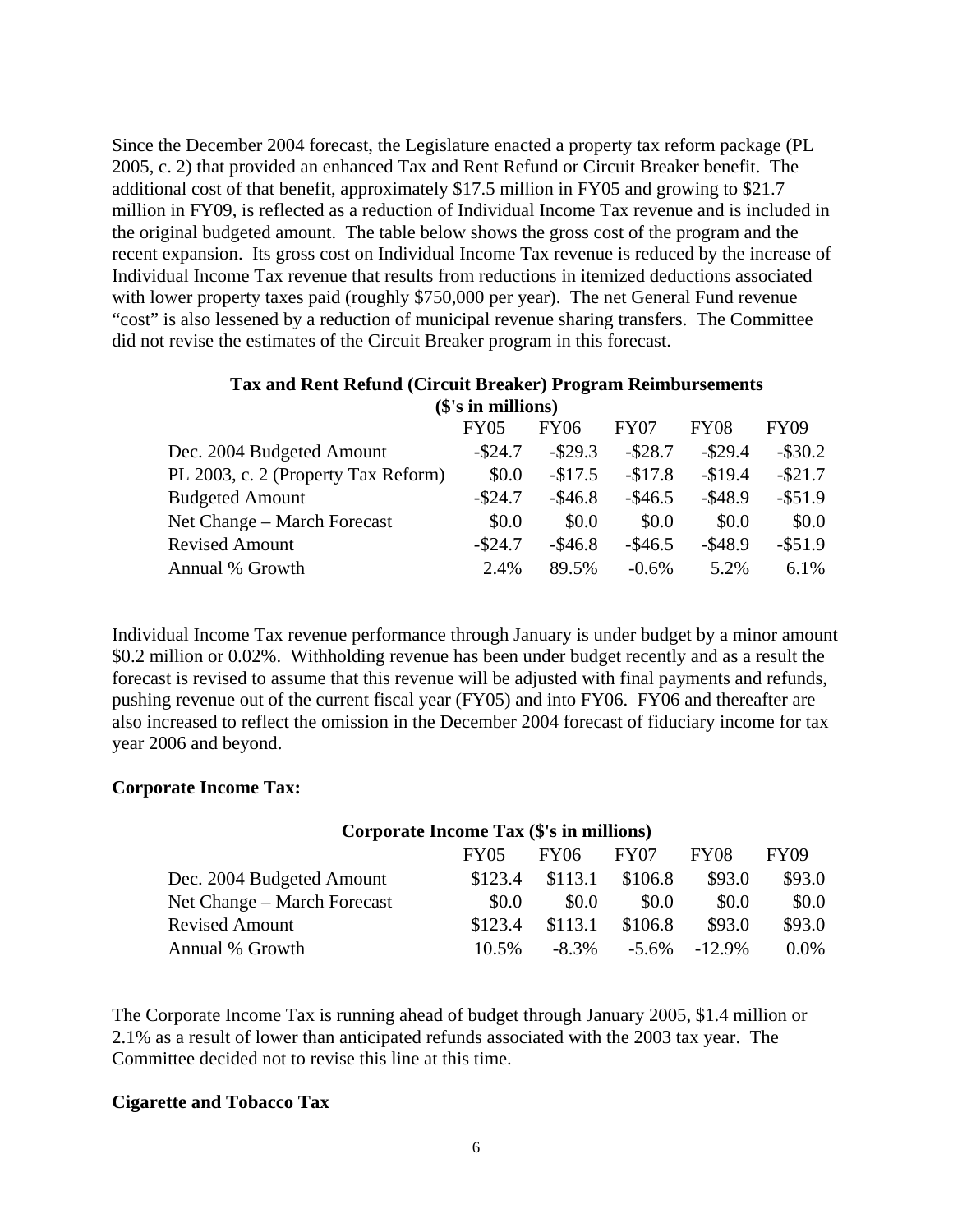Since the December 2004 forecast, the Legislature enacted a property tax reform package (PL 2005, c. 2) that provided an enhanced Tax and Rent Refund or Circuit Breaker benefit. The additional cost of that benefit, approximately \$17.5 million in FY05 and growing to \$21.7 million in FY09, is reflected as a reduction of Individual Income Tax revenue and is included in the original budgeted amount. The table below shows the gross cost of the program and the recent expansion. Its gross cost on Individual Income Tax revenue is reduced by the increase of Individual Income Tax revenue that results from reductions in itemized deductions associated with lower property taxes paid (roughly \$750,000 per year). The net General Fund revenue "cost" is also lessened by a reduction of municipal revenue sharing transfers. The Committee did not revise the estimates of the Circuit Breaker program in this forecast.

|                                     | <b>FY05</b> | FY06       | FY07       | <b>FY08</b> | <b>FY09</b> |
|-------------------------------------|-------------|------------|------------|-------------|-------------|
| Dec. 2004 Budgeted Amount           | $-$ \$24.7  | $-$ \$29.3 | $-$ \$28.7 | $-$ \$29.4  | $-$ \$30.2  |
| PL 2003, c. 2 (Property Tax Reform) | \$0.0       | $-$17.5$   | $-$17.8$   | $-$19.4$    | $-$ \$21.7  |
| <b>Budgeted Amount</b>              | $-$ \$24.7  | $-$ \$46.8 | $-\$46.5$  | $-$ \$48.9  | $-$ \$51.9  |
| Net Change – March Forecast         | \$0.0       | \$0.0      | \$0.0      | \$0.0       | \$0.0       |
| <b>Revised Amount</b>               | $-$ \$24.7  | $-$ \$46.8 | $-\$46.5$  | $-$ \$48.9  | $-$ \$51.9  |
| Annual % Growth                     | 2.4%        | 89.5%      | $-0.6\%$   | 5.2%        | $6.1\%$     |

## **Tax and Rent Refund (Circuit Breaker) Program Reimbursements (\$'s in millions)**

Individual Income Tax revenue performance through January is under budget by a minor amount \$0.2 million or 0.02%. Withholding revenue has been under budget recently and as a result the forecast is revised to assume that this revenue will be adjusted with final payments and refunds, pushing revenue out of the current fiscal year (FY05) and into FY06. FY06 and thereafter are also increased to reflect the omission in the December 2004 forecast of fiduciary income for tax year 2006 and beyond.

## **Corporate Income Tax:**

### **Corporate Income Tax (\$'s in millions)**

|                             | <b>FY05</b> | FY06     | FY07     | FY08      | FY09    |
|-----------------------------|-------------|----------|----------|-----------|---------|
| Dec. 2004 Budgeted Amount   | \$123.4     | \$113.1  | \$106.8  | \$93.0    | \$93.0  |
| Net Change – March Forecast | \$0.0       | \$0.0    | \$0.0    | \$0.0     | \$0.0   |
| <b>Revised Amount</b>       | \$123.4     | \$113.1  | \$106.8  | \$93.0    | \$93.0  |
| Annual % Growth             | $10.5\%$    | $-8.3\%$ | $-5.6\%$ | $-12.9\%$ | $0.0\%$ |

The Corporate Income Tax is running ahead of budget through January 2005, \$1.4 million or 2.1% as a result of lower than anticipated refunds associated with the 2003 tax year. The Committee decided not to revise this line at this time.

### **Cigarette and Tobacco Tax**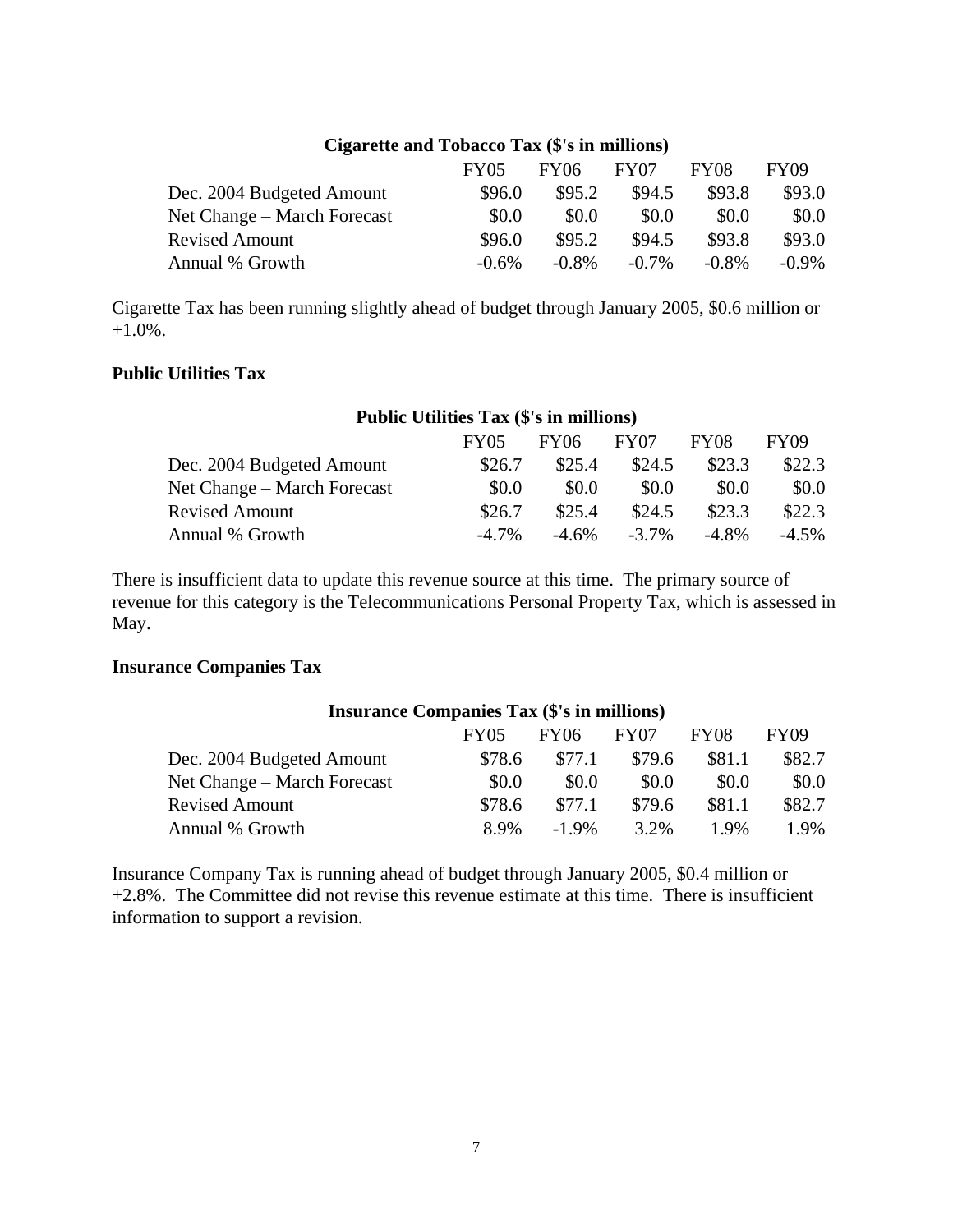## **Cigarette and Tobacco Tax (\$'s in millions)**

|                             | <b>FY05</b> | <b>FY06</b> | FY07     | FY08     | FY09     |
|-----------------------------|-------------|-------------|----------|----------|----------|
| Dec. 2004 Budgeted Amount   | \$96.0      | \$95.2      | \$94.5   | \$93.8   | \$93.0   |
| Net Change – March Forecast | \$0.0       | \$0.0       | \$0.0    | \$0.0    | \$0.0    |
| <b>Revised Amount</b>       | \$96.0      | \$95.2      | \$94.5   | \$93.8   | \$93.0   |
| Annual % Growth             | $-0.6\%$    | $-0.8\%$    | $-0.7\%$ | $-0.8\%$ | $-0.9\%$ |

Cigarette Tax has been running slightly ahead of budget through January 2005, \$0.6 million or +1.0%.

## **Public Utilities Tax**

## **Public Utilities Tax (\$'s in millions)**  FY05 FY06 FY07 FY08 FY09 Dec. 2004 Budgeted Amount \$26.7 \$25.4 \$24.5 \$23.3 \$22.3 Net Change – March Forecast  $\$0.0 \ \$0.0 \ \$0.0 \ \$0.0 \ \$0.0 \$ Revised Amount \$26.7 \$25.4 \$24.5 \$23.3 \$22.3 Annual % Growth  $-4.7\%$   $-4.6\%$   $-3.7\%$   $-4.8\%$   $-4.5\%$

There is insufficient data to update this revenue source at this time. The primary source of revenue for this category is the Telecommunications Personal Property Tax, which is assessed in May.

## **Insurance Companies Tax**

| <b>Insurance Companies Tax (\$'s in millions)</b> |             |             |        |             |             |  |
|---------------------------------------------------|-------------|-------------|--------|-------------|-------------|--|
|                                                   | <b>FY05</b> | <b>FY06</b> | FY07   | <b>FY08</b> | <b>FY09</b> |  |
| Dec. 2004 Budgeted Amount                         | \$78.6      | \$77.1      | \$79.6 | \$81.1      | \$82.7      |  |
| Net Change – March Forecast                       | \$0.0       | \$0.0       | \$0.0  | \$0.0       | \$0.0       |  |
| <b>Revised Amount</b>                             | \$78.6      | \$77.1      | \$79.6 | \$81.1      | \$82.7      |  |
| Annual % Growth                                   | 8.9%        | $-1.9\%$    | 3.2%   | $1.9\%$     | 1.9%        |  |

Insurance Company Tax is running ahead of budget through January 2005, \$0.4 million or +2.8%. The Committee did not revise this revenue estimate at this time. There is insufficient information to support a revision.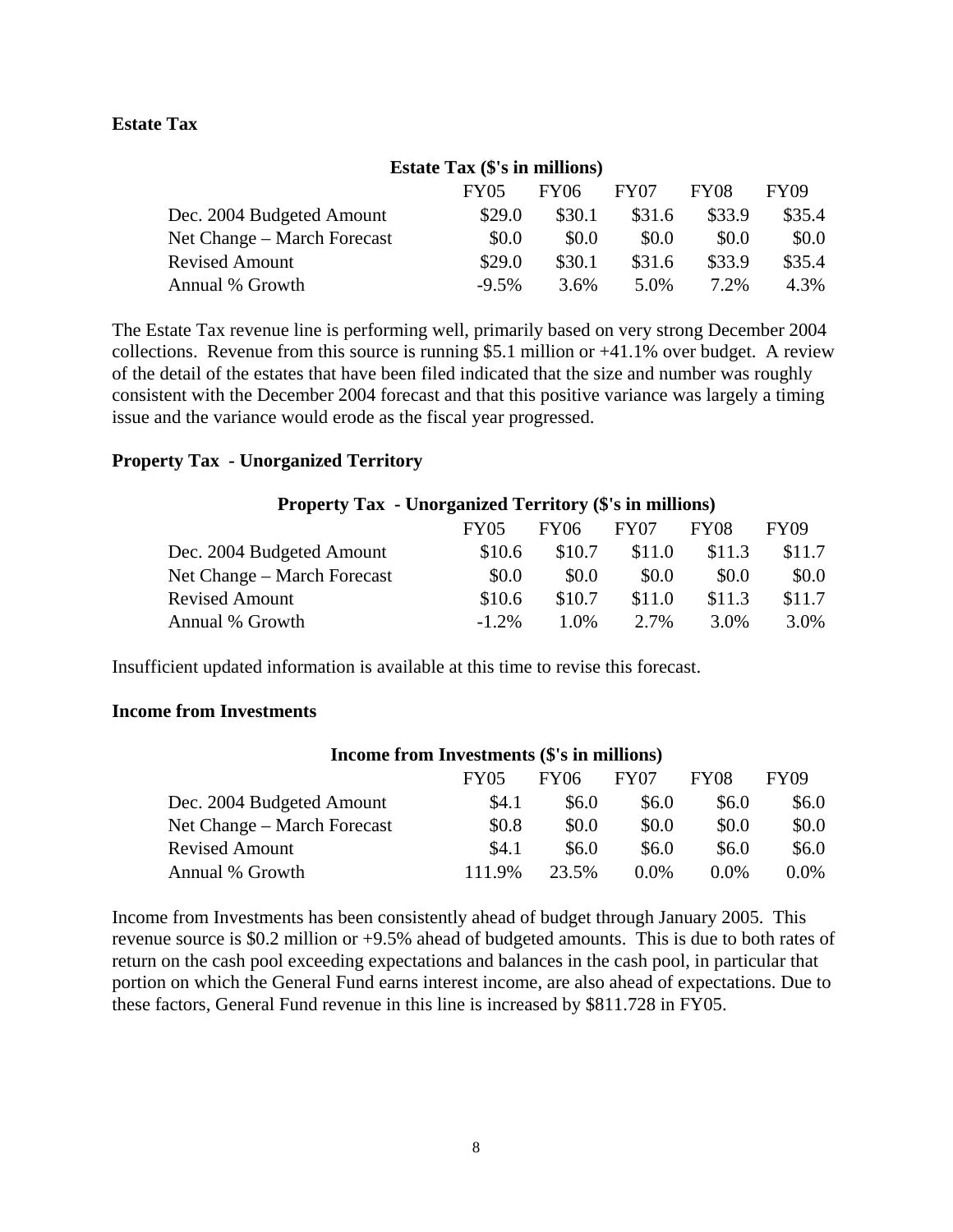## **Estate Tax**

## **Estate Tax (\$'s in millions)**

|                             | <b>FY05</b> | FY06    | FY07    | FY08    | FY09   |
|-----------------------------|-------------|---------|---------|---------|--------|
| Dec. 2004 Budgeted Amount   | \$29.0      | \$30.1  | \$31.6  | \$33.9  | \$35.4 |
| Net Change – March Forecast | \$0.0       | \$0.0   | \$0.0   | \$0.0   | \$0.0  |
| <b>Revised Amount</b>       | \$29.0      | \$30.1  | \$31.6  | \$33.9  | \$35.4 |
| Annual % Growth             | $-9.5%$     | $3.6\%$ | $5.0\%$ | $7.2\%$ | 4.3%   |

The Estate Tax revenue line is performing well, primarily based on very strong December 2004 collections. Revenue from this source is running \$5.1 million or +41.1% over budget. A review of the detail of the estates that have been filed indicated that the size and number was roughly consistent with the December 2004 forecast and that this positive variance was largely a timing issue and the variance would erode as the fiscal year progressed.

### **Property Tax - Unorganized Territory**

| <b>Property Tax - Unorganized Territory (\$'s in millions)</b> |             |         |                  |             |             |  |  |
|----------------------------------------------------------------|-------------|---------|------------------|-------------|-------------|--|--|
|                                                                | <b>FY05</b> | FY06    | FY <sub>07</sub> | <b>FY08</b> | <b>FY09</b> |  |  |
| Dec. 2004 Budgeted Amount                                      | \$10.6      | \$10.7  | \$11.0           | \$11.3      | \$11.7      |  |  |
| Net Change – March Forecast                                    | \$0.0       | \$0.0   | \$0.0            | \$0.0       | \$0.0       |  |  |
| <b>Revised Amount</b>                                          | \$10.6      | \$10.7  | \$11.0           | \$11.3      | \$11.7      |  |  |
| Annual % Growth                                                | $-1.2\%$    | $1.0\%$ | 2.7%             | 3.0%        | 3.0%        |  |  |

Insufficient updated information is available at this time to revise this forecast.

## **Income from Investments**

| Income from Investments (5's in millions) |             |             |                  |         |         |  |
|-------------------------------------------|-------------|-------------|------------------|---------|---------|--|
|                                           | <b>FY05</b> | <b>FY06</b> | FY <sub>07</sub> | FY08    | FY09    |  |
| Dec. 2004 Budgeted Amount                 | \$4.1       | \$6.0       | \$6.0            | \$6.0   | \$6.0   |  |
| Net Change – March Forecast               | \$0.8       | \$0.0       | \$0.0            | \$0.0   | \$0.0   |  |
| <b>Revised Amount</b>                     | \$4.1       | \$6.0       | \$6.0            | \$6.0   | \$6.0   |  |
| Annual % Growth                           | 111.9%      | 23.5%       | $0.0\%$          | $0.0\%$ | $0.0\%$ |  |

**Income from Investments (\$'s in millions)** 

Income from Investments has been consistently ahead of budget through January 2005. This revenue source is \$0.2 million or +9.5% ahead of budgeted amounts. This is due to both rates of return on the cash pool exceeding expectations and balances in the cash pool, in particular that portion on which the General Fund earns interest income, are also ahead of expectations. Due to these factors, General Fund revenue in this line is increased by \$811.728 in FY05.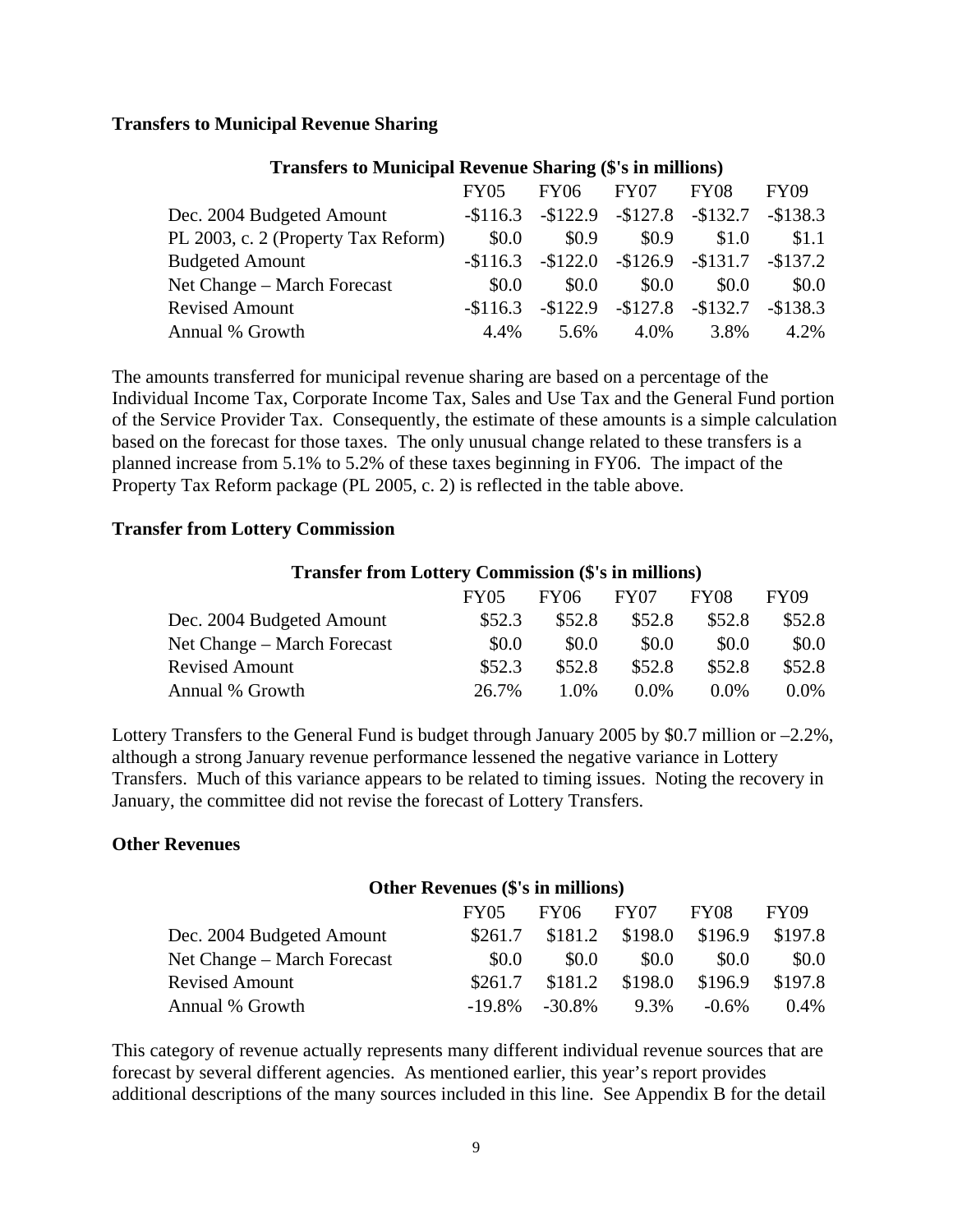### **Transfers to Municipal Revenue Sharing**

|                                     | FY05       | <b>FY06</b>                   | FY07  | <b>FY08</b>                             | <b>FY09</b> |
|-------------------------------------|------------|-------------------------------|-------|-----------------------------------------|-------------|
| Dec. 2004 Budgeted Amount           |            | $-116.3 -122.9 -127.8 -132.7$ |       |                                         | $-$138.3$   |
| PL 2003, c. 2 (Property Tax Reform) | \$0.0      | \$0.9                         | \$0.9 | \$1.0                                   | \$1.1       |
| <b>Budgeted Amount</b>              |            | $-$116.3$ $-$122.0$           |       | $-\$126.9$ $-\$131.7$ $-\$137.2$        |             |
| Net Change – March Forecast         | \$0.0      | \$0.0                         | \$0.0 | \$0.0                                   | \$0.0       |
| <b>Revised Amount</b>               | $-\$116.3$ |                               |       | $-$122.9$ $-$127.8$ $-$132.7$ $-$138.3$ |             |
| Annual % Growth                     | 4.4%       | 5.6%                          | 4.0%  | 3.8%                                    | 4.2%        |

#### **Transfers to Municipal Revenue Sharing (\$'s in millions)**

The amounts transferred for municipal revenue sharing are based on a percentage of the Individual Income Tax, Corporate Income Tax, Sales and Use Tax and the General Fund portion of the Service Provider Tax. Consequently, the estimate of these amounts is a simple calculation based on the forecast for those taxes. The only unusual change related to these transfers is a planned increase from 5.1% to 5.2% of these taxes beginning in FY06. The impact of the Property Tax Reform package (PL 2005, c. 2) is reflected in the table above.

### **Transfer from Lottery Commission**

#### **Transfer from Lottery Commission (\$'s in millions)**

|                             | <b>FY05</b> | FY06   | FY07    | <b>FY08</b> | FY09    |
|-----------------------------|-------------|--------|---------|-------------|---------|
| Dec. 2004 Budgeted Amount   | \$52.3      | \$52.8 | \$52.8  | \$52.8      | \$52.8  |
| Net Change – March Forecast | \$0.0       | \$0.0  | \$0.0   | \$0.0       | \$0.0   |
| <b>Revised Amount</b>       | \$52.3      | \$52.8 | \$52.8  | \$52.8      | \$52.8  |
| Annual % Growth             | 26.7%       | 1.0%   | $0.0\%$ | $0.0\%$     | $0.0\%$ |

Lottery Transfers to the General Fund is budget through January 2005 by \$0.7 million or –2.2%, although a strong January revenue performance lessened the negative variance in Lottery Transfers. Much of this variance appears to be related to timing issues. Noting the recovery in January, the committee did not revise the forecast of Lottery Transfers.

### **Other Revenues**

### **Other Revenues (\$'s in millions)**

|                             | <b>FY05</b> | <b>FY06</b> | FY07    | FY08     | FY09    |
|-----------------------------|-------------|-------------|---------|----------|---------|
| Dec. 2004 Budgeted Amount   | \$261.7     | \$181.2     | \$198.0 | \$196.9  | \$197.8 |
| Net Change – March Forecast | \$0.0       | \$0.0       | \$0.0   | \$0.0    | \$0.0   |
| <b>Revised Amount</b>       | \$261.7     | \$181.2     | \$198.0 | \$196.9  | \$197.8 |
| Annual % Growth             | $-19.8\%$   | -30.8%      | 9.3%    | $-0.6\%$ | $0.4\%$ |

This category of revenue actually represents many different individual revenue sources that are forecast by several different agencies. As mentioned earlier, this year's report provides additional descriptions of the many sources included in this line. See Appendix B for the detail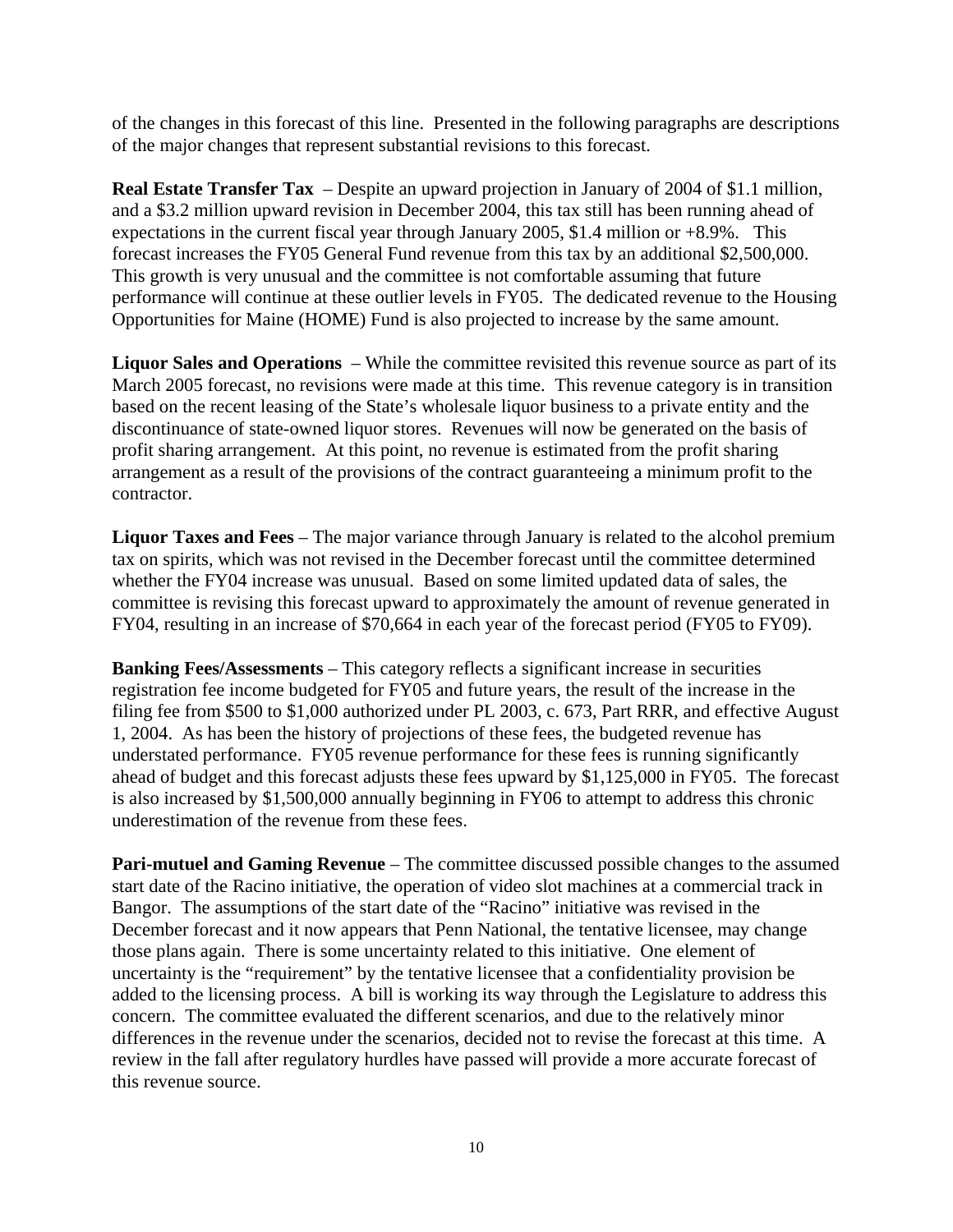of the changes in this forecast of this line. Presented in the following paragraphs are descriptions of the major changes that represent substantial revisions to this forecast.

**Real Estate Transfer Tax** – Despite an upward projection in January of 2004 of \$1.1 million, and a \$3.2 million upward revision in December 2004, this tax still has been running ahead of expectations in the current fiscal year through January 2005, \$1.4 million or +8.9%. This forecast increases the FY05 General Fund revenue from this tax by an additional \$2,500,000. This growth is very unusual and the committee is not comfortable assuming that future performance will continue at these outlier levels in FY05. The dedicated revenue to the Housing Opportunities for Maine (HOME) Fund is also projected to increase by the same amount.

**Liquor Sales and Operations** – While the committee revisited this revenue source as part of its March 2005 forecast, no revisions were made at this time. This revenue category is in transition based on the recent leasing of the State's wholesale liquor business to a private entity and the discontinuance of state-owned liquor stores. Revenues will now be generated on the basis of profit sharing arrangement. At this point, no revenue is estimated from the profit sharing arrangement as a result of the provisions of the contract guaranteeing a minimum profit to the contractor.

**Liquor Taxes and Fees** – The major variance through January is related to the alcohol premium tax on spirits, which was not revised in the December forecast until the committee determined whether the FY04 increase was unusual. Based on some limited updated data of sales, the committee is revising this forecast upward to approximately the amount of revenue generated in FY04, resulting in an increase of \$70,664 in each year of the forecast period (FY05 to FY09).

**Banking Fees/Assessments** – This category reflects a significant increase in securities registration fee income budgeted for FY05 and future years, the result of the increase in the filing fee from \$500 to \$1,000 authorized under PL 2003, c. 673, Part RRR, and effective August 1, 2004. As has been the history of projections of these fees, the budgeted revenue has understated performance. FY05 revenue performance for these fees is running significantly ahead of budget and this forecast adjusts these fees upward by \$1,125,000 in FY05. The forecast is also increased by \$1,500,000 annually beginning in FY06 to attempt to address this chronic underestimation of the revenue from these fees.

**Pari-mutuel and Gaming Revenue** – The committee discussed possible changes to the assumed start date of the Racino initiative, the operation of video slot machines at a commercial track in Bangor. The assumptions of the start date of the "Racino" initiative was revised in the December forecast and it now appears that Penn National, the tentative licensee, may change those plans again. There is some uncertainty related to this initiative. One element of uncertainty is the "requirement" by the tentative licensee that a confidentiality provision be added to the licensing process. A bill is working its way through the Legislature to address this concern. The committee evaluated the different scenarios, and due to the relatively minor differences in the revenue under the scenarios, decided not to revise the forecast at this time. A review in the fall after regulatory hurdles have passed will provide a more accurate forecast of this revenue source.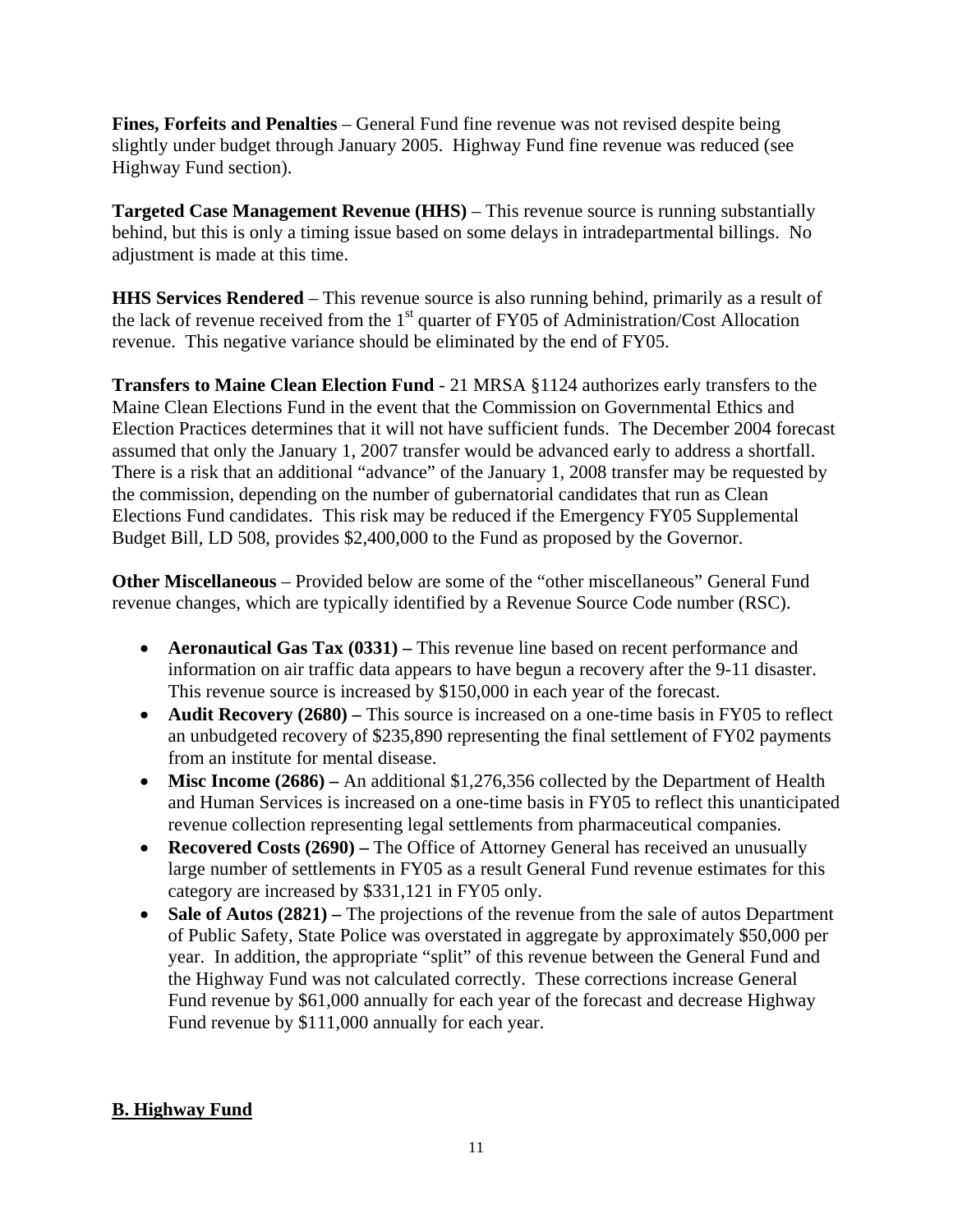**Fines, Forfeits and Penalties** – General Fund fine revenue was not revised despite being slightly under budget through January 2005. Highway Fund fine revenue was reduced (see Highway Fund section).

**Targeted Case Management Revenue (HHS)** – This revenue source is running substantially behind, but this is only a timing issue based on some delays in intradepartmental billings. No adjustment is made at this time.

**HHS Services Rendered** – This revenue source is also running behind, primarily as a result of the lack of revenue received from the 1<sup>st</sup> quarter of FY05 of Administration/Cost Allocation revenue. This negative variance should be eliminated by the end of FY05.

**Transfers to Maine Clean Election Fund** - 21 MRSA §1124 authorizes early transfers to the Maine Clean Elections Fund in the event that the Commission on Governmental Ethics and Election Practices determines that it will not have sufficient funds. The December 2004 forecast assumed that only the January 1, 2007 transfer would be advanced early to address a shortfall. There is a risk that an additional "advance" of the January 1, 2008 transfer may be requested by the commission, depending on the number of gubernatorial candidates that run as Clean Elections Fund candidates. This risk may be reduced if the Emergency FY05 Supplemental Budget Bill, LD 508, provides \$2,400,000 to the Fund as proposed by the Governor.

**Other Miscellaneous** – Provided below are some of the "other miscellaneous" General Fund revenue changes, which are typically identified by a Revenue Source Code number (RSC).

- **Aeronautical Gas Tax (0331)** This revenue line based on recent performance and information on air traffic data appears to have begun a recovery after the 9-11 disaster. This revenue source is increased by \$150,000 in each year of the forecast.
- **Audit Recovery (2680)** This source is increased on a one-time basis in FY05 to reflect an unbudgeted recovery of \$235,890 representing the final settlement of FY02 payments from an institute for mental disease.
- **Misc Income (2686)** An additional \$1,276,356 collected by the Department of Health and Human Services is increased on a one-time basis in FY05 to reflect this unanticipated revenue collection representing legal settlements from pharmaceutical companies.
- **Recovered Costs (2690)** The Office of Attorney General has received an unusually large number of settlements in FY05 as a result General Fund revenue estimates for this category are increased by \$331,121 in FY05 only.
- Sale of Autos (2821) The projections of the revenue from the sale of autos Department of Public Safety, State Police was overstated in aggregate by approximately \$50,000 per year. In addition, the appropriate "split" of this revenue between the General Fund and the Highway Fund was not calculated correctly. These corrections increase General Fund revenue by \$61,000 annually for each year of the forecast and decrease Highway Fund revenue by \$111,000 annually for each year.

## **B. Highway Fund**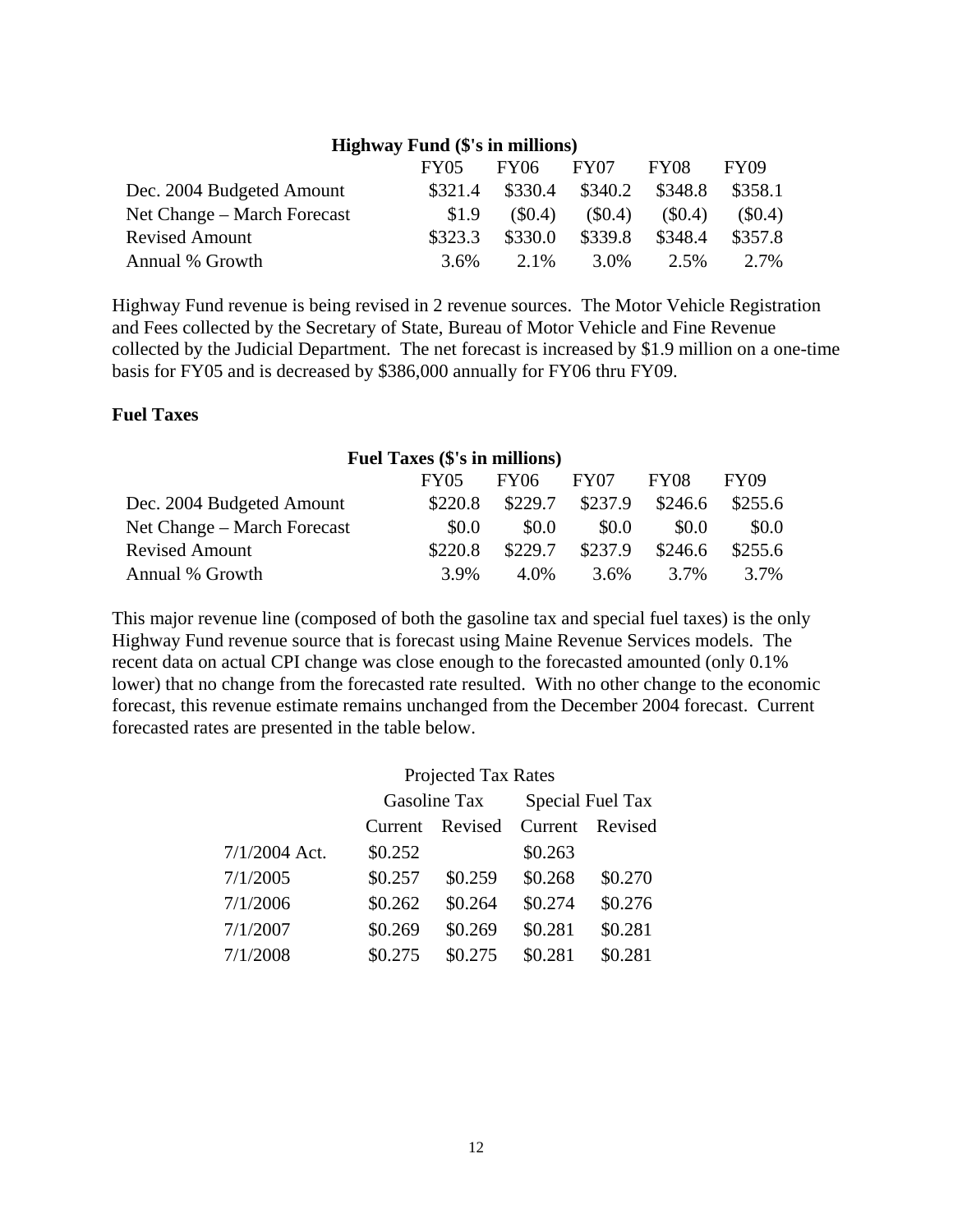| $\mathbf{H}$ giiway fuliu ( $\phi$ s iii iiiiiiiioiis) |         |           |          |           |             |  |
|--------------------------------------------------------|---------|-----------|----------|-----------|-------------|--|
|                                                        | FY05    | FY06      | FY07     | FY08      | <b>FY09</b> |  |
| Dec. 2004 Budgeted Amount                              | \$321.4 | \$330.4   | \$340.2  | \$348.8   | \$358.1     |  |
| Net Change – March Forecast                            | \$1.9   | $(\$0.4)$ | $\$0.4)$ | $(\$0.4)$ | $(\$0.4)$   |  |
| <b>Revised Amount</b>                                  | \$323.3 | \$330.0   | \$339.8  | \$348.4   | \$357.8     |  |
| Annual % Growth                                        | $3.6\%$ | 2.1%      | 3.0%     | $2.5\%$   | 2.7%        |  |

**Highway Fund (\$'s in millions)** 

Highway Fund revenue is being revised in 2 revenue sources. The Motor Vehicle Registration and Fees collected by the Secretary of State, Bureau of Motor Vehicle and Fine Revenue collected by the Judicial Department. The net forecast is increased by \$1.9 million on a one-time basis for FY05 and is decreased by \$386,000 annually for FY06 thru FY09.

### **Fuel Taxes**

| <b>Fuel Taxes (\$'s in millions)</b> |             |             |         |         |         |  |
|--------------------------------------|-------------|-------------|---------|---------|---------|--|
|                                      | <b>FY05</b> | <b>FY06</b> | FY07    | FY08    | FY09    |  |
| Dec. 2004 Budgeted Amount            | \$220.8     | \$229.7     | \$237.9 | \$246.6 | \$255.6 |  |
| Net Change – March Forecast          | \$0.0       | \$0.0       | \$0.0   | \$0.0   | \$0.0   |  |
| <b>Revised Amount</b>                | \$220.8     | \$229.7     | \$237.9 | \$246.6 | \$255.6 |  |
| Annual % Growth                      | 3.9%        | 4.0%        | $3.6\%$ | 3.7%    | 3.7%    |  |

This major revenue line (composed of both the gasoline tax and special fuel taxes) is the only Highway Fund revenue source that is forecast using Maine Revenue Services models. The recent data on actual CPI change was close enough to the forecasted amounted (only 0.1% lower) that no change from the forecasted rate resulted. With no other change to the economic forecast, this revenue estimate remains unchanged from the December 2004 forecast. Current forecasted rates are presented in the table below.

| <b>Projected Tax Rates</b> |  |  |
|----------------------------|--|--|
|----------------------------|--|--|

|               |         | Gasoline Tax    | Special Fuel Tax |         |  |
|---------------|---------|-----------------|------------------|---------|--|
|               |         | Current Revised | Current          | Revised |  |
| 7/1/2004 Act. | \$0.252 |                 | \$0.263          |         |  |
| 7/1/2005      | \$0.257 | \$0.259         | \$0.268          | \$0.270 |  |
| 7/1/2006      | \$0.262 | \$0.264         | \$0.274          | \$0.276 |  |
| 7/1/2007      | \$0.269 | \$0.269         | \$0.281          | \$0.281 |  |
| 7/1/2008      | \$0.275 | \$0.275         | \$0.281          | \$0.281 |  |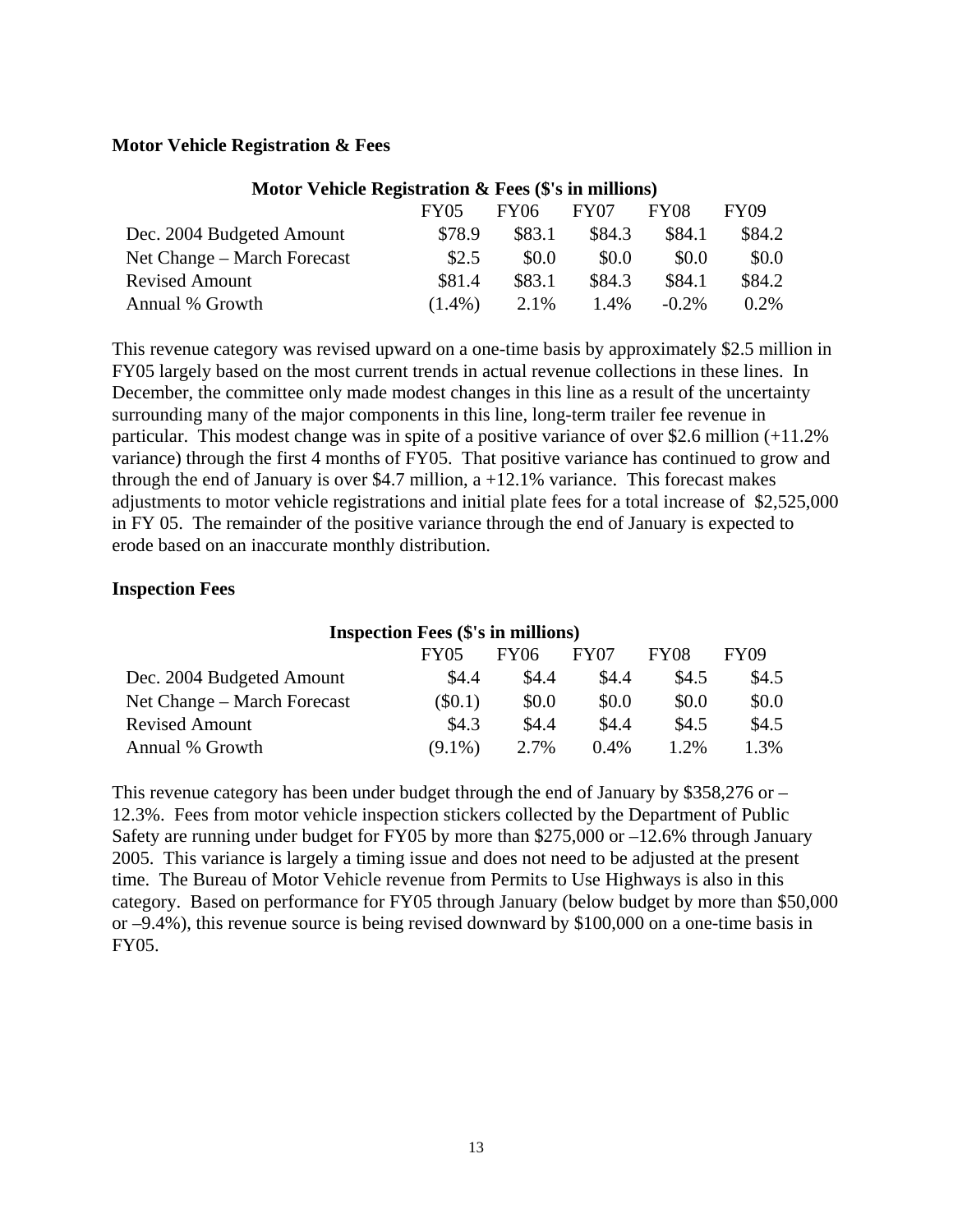## **Motor Vehicle Registration & Fees**

| Motor Vehicle Registration & Fees (5's in millions) |             |             |                  |             |             |
|-----------------------------------------------------|-------------|-------------|------------------|-------------|-------------|
|                                                     | <b>FY05</b> | <b>FY06</b> | FY <sub>07</sub> | <b>FY08</b> | <b>FY09</b> |
| Dec. 2004 Budgeted Amount                           | \$78.9      | \$83.1      | \$84.3           | \$84.1      | \$84.2      |
| Net Change – March Forecast                         | \$2.5       | \$0.0       | \$0.0            | \$0.0       | \$0.0       |
| <b>Revised Amount</b>                               | \$81.4      | \$83.1      | \$84.3           | \$84.1      | \$84.2      |
| Annual % Growth                                     | $(1.4\%)$   | 2.1%        | $1.4\%$          | $-0.2\%$    | 0.2%        |

## **Motor Vehicle Registration & Fees (\$'s in millions)**

This revenue category was revised upward on a one-time basis by approximately \$2.5 million in FY05 largely based on the most current trends in actual revenue collections in these lines. In December, the committee only made modest changes in this line as a result of the uncertainty surrounding many of the major components in this line, long-term trailer fee revenue in particular. This modest change was in spite of a positive variance of over \$2.6 million (+11.2% variance) through the first 4 months of FY05. That positive variance has continued to grow and through the end of January is over \$4.7 million,  $a + 12.1\%$  variance. This forecast makes adjustments to motor vehicle registrations and initial plate fees for a total increase of \$2,525,000 in FY 05. The remainder of the positive variance through the end of January is expected to erode based on an inaccurate monthly distribution.

## **Inspection Fees**

### **Inspection Fees (\$'s in millions)**

|                             | <b>FY05</b> | <b>FY06</b> | FY07    | FY08  | FY09  |
|-----------------------------|-------------|-------------|---------|-------|-------|
| Dec. 2004 Budgeted Amount   | \$4.4       | \$4.4       | \$4.4   | \$4.5 | \$4.5 |
| Net Change – March Forecast | $\$0.1)$    | \$0.0       | \$0.0   | \$0.0 | \$0.0 |
| <b>Revised Amount</b>       | \$4.3       | \$4.4       | \$4.4   | \$4.5 | \$4.5 |
| Annual % Growth             | $(9.1\%)$   | 2.7%        | $0.4\%$ | 1.2%  | 1.3%  |

This revenue category has been under budget through the end of January by  $$358,276$  or – 12.3%. Fees from motor vehicle inspection stickers collected by the Department of Public Safety are running under budget for FY05 by more than \$275,000 or –12.6% through January 2005. This variance is largely a timing issue and does not need to be adjusted at the present time. The Bureau of Motor Vehicle revenue from Permits to Use Highways is also in this category. Based on performance for FY05 through January (below budget by more than \$50,000 or –9.4%), this revenue source is being revised downward by \$100,000 on a one-time basis in FY05.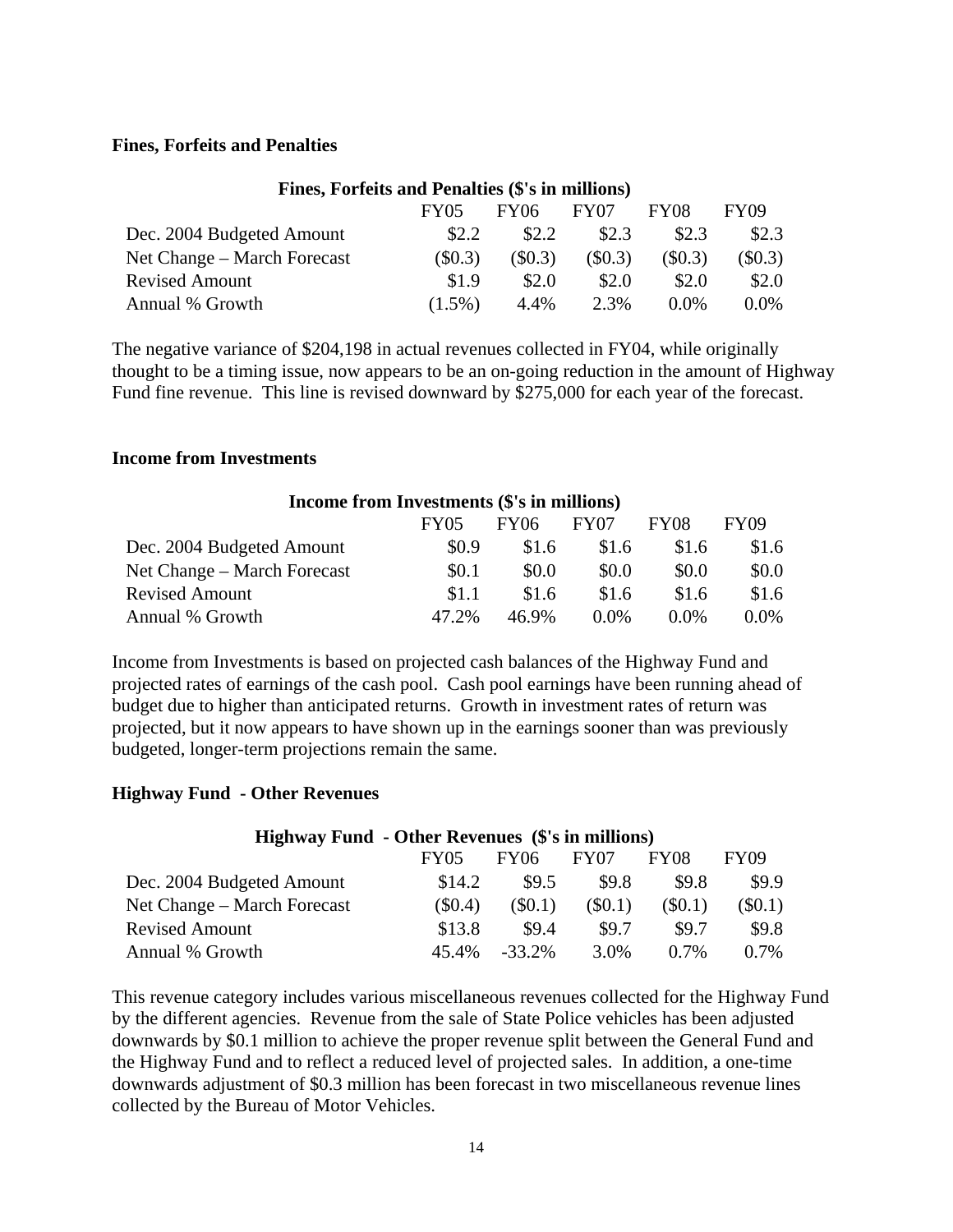## **Fines, Forfeits and Penalties**

| Fines, Forteits and Penalties (S's in millions) |                  |                  |         |             |
|-------------------------------------------------|------------------|------------------|---------|-------------|
| FY05                                            | FY <sub>06</sub> | FY <sub>07</sub> | FY08    | <b>FY09</b> |
| \$2.2                                           | \$2.2            | \$2.3            | \$2.3   | \$2.3       |
| (\$0.3)                                         | (S0.3)           | $(\$0.3)$        | (\$0.3) | $(\$0.3)$   |
| \$1.9                                           | \$2.0            | \$2.0            | \$2.0   | \$2.0       |
| $(1.5\%)$                                       | 4.4%             | 2.3%             | $0.0\%$ | $0.0\%$     |
|                                                 |                  |                  |         |             |

**Fines, Forfeits and Penalties (\$'s in millions)** 

The negative variance of \$204,198 in actual revenues collected in FY04, while originally thought to be a timing issue, now appears to be an on-going reduction in the amount of Highway Fund fine revenue. This line is revised downward by \$275,000 for each year of the forecast.

### **Income from Investments**

| Income from Investments (\$'s in millions) |       |             |                  |         |         |
|--------------------------------------------|-------|-------------|------------------|---------|---------|
|                                            | FY05  | <b>FY06</b> | FY <sub>07</sub> | FY08    | FY09    |
| Dec. 2004 Budgeted Amount                  | \$0.9 | \$1.6       | \$1.6            | \$1.6   | \$1.6   |
| Net Change – March Forecast                | \$0.1 | \$0.0       | \$0.0            | \$0.0   | \$0.0   |
| <b>Revised Amount</b>                      | \$1.1 | \$1.6       | \$1.6            | \$1.6   | \$1.6   |
| Annual % Growth                            | 47.2% | 46.9%       | $0.0\%$          | $0.0\%$ | $0.0\%$ |

Income from Investments is based on projected cash balances of the Highway Fund and projected rates of earnings of the cash pool. Cash pool earnings have been running ahead of budget due to higher than anticipated returns. Growth in investment rates of return was projected, but it now appears to have shown up in the earnings sooner than was previously budgeted, longer-term projections remain the same.

### **Highway Fund - Other Revenues**

| <b>Highway Fund - Other Revenues (\$'s in millions)</b> |        |             |                  |             |             |
|---------------------------------------------------------|--------|-------------|------------------|-------------|-------------|
|                                                         | FY05   | <b>FY06</b> | FY <sub>07</sub> | <b>FY08</b> | <b>FY09</b> |
| Dec. 2004 Budgeted Amount                               | \$14.2 | \$9.5       | \$9.8            | \$9.8       | \$9.9       |
| Net Change – March Forecast                             | (S0.4) | (S0.1)      | $\$0.1)$         | (S0.1)      | $\$0.1)$    |
| <b>Revised Amount</b>                                   | \$13.8 | \$9.4       | \$9.7            | \$9.7       | \$9.8       |
| Annual % Growth                                         | 45.4%  | $-33.2\%$   | 3.0%             | $0.7\%$     | $0.7\%$     |

This revenue category includes various miscellaneous revenues collected for the Highway Fund by the different agencies. Revenue from the sale of State Police vehicles has been adjusted downwards by \$0.1 million to achieve the proper revenue split between the General Fund and the Highway Fund and to reflect a reduced level of projected sales. In addition, a one-time downwards adjustment of \$0.3 million has been forecast in two miscellaneous revenue lines collected by the Bureau of Motor Vehicles.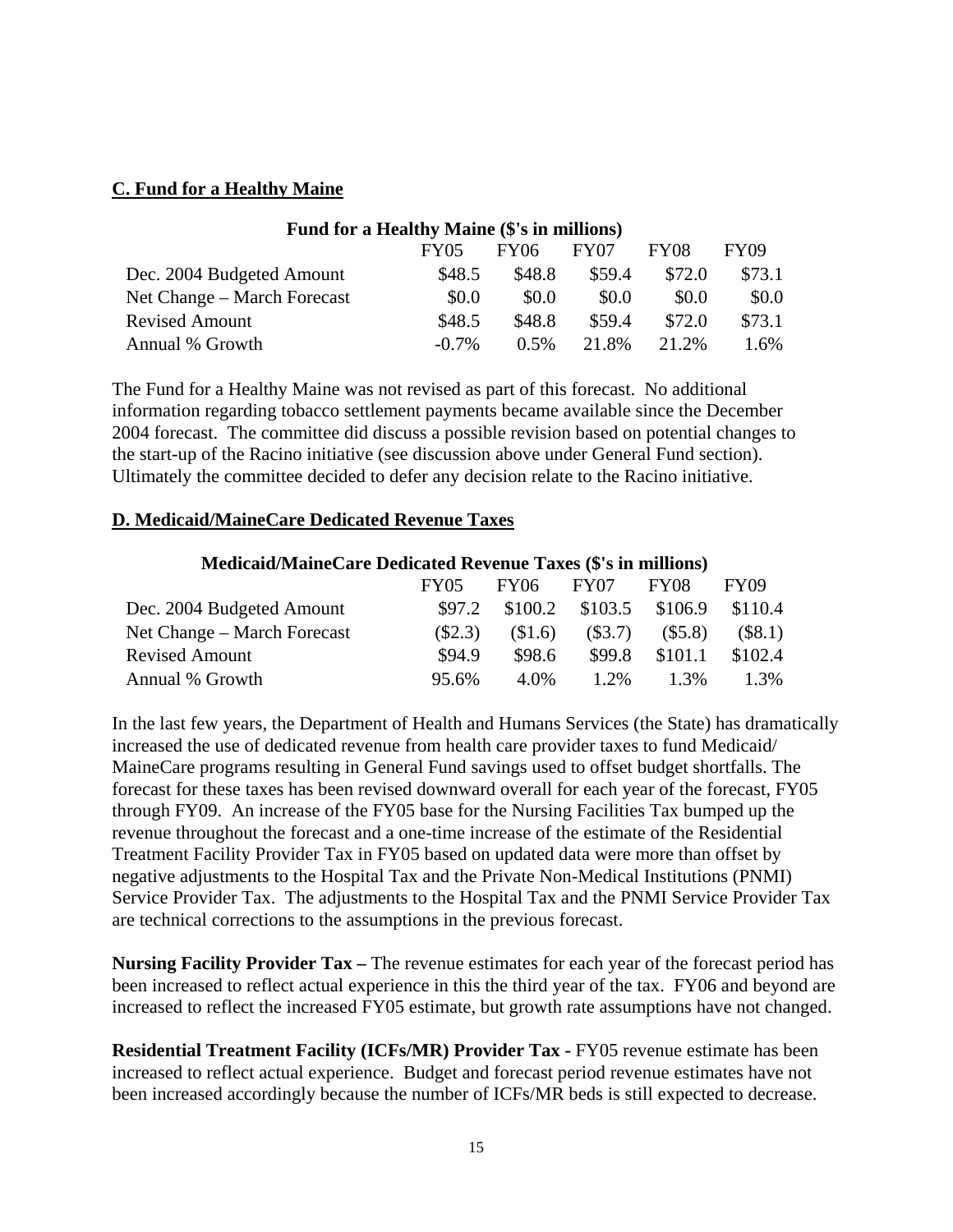## **C. Fund for a Healthy Maine**

| Fund for a Healthy Maine (\$'s in millions) |          |             |                  |        |        |
|---------------------------------------------|----------|-------------|------------------|--------|--------|
|                                             | FY05     | <b>FY06</b> | FY <sub>07</sub> | FY08   | FY09   |
| Dec. 2004 Budgeted Amount                   | \$48.5   | \$48.8      | \$59.4           | \$72.0 | \$73.1 |
| Net Change – March Forecast                 | \$0.0    | \$0.0       | \$0.0            | \$0.0  | \$0.0  |
| <b>Revised Amount</b>                       | \$48.5   | \$48.8      | \$59.4           | \$72.0 | \$73.1 |
| Annual % Growth                             | $-0.7\%$ | 0.5%        | 21.8%            | 21.2%  | 1.6%   |

The Fund for a Healthy Maine was not revised as part of this forecast. No additional information regarding tobacco settlement payments became available since the December 2004 forecast. The committee did discuss a possible revision based on potential changes to the start-up of the Racino initiative (see discussion above under General Fund section). Ultimately the committee decided to defer any decision relate to the Racino initiative.

## **D. Medicaid/MaineCare Dedicated Revenue Taxes**

| <b>Medicaid/MaineCare Dedicated Revenue Taxes (\$'s in millions)</b> |        |        |                   |         |           |  |
|----------------------------------------------------------------------|--------|--------|-------------------|---------|-----------|--|
|                                                                      | FY05   | FY06   | FY <sub>07</sub>  | FY08    | FY09      |  |
| Dec. 2004 Budgeted Amount                                            | \$97.2 |        | $$100.2$ $$103.5$ | \$106.9 | \$110.4   |  |
| Net Change – March Forecast                                          | (S2.3) | \$1.6  | (S3.7)            | (\$5.8) | $(\$8.1)$ |  |
| <b>Revised Amount</b>                                                | \$94.9 | \$98.6 | \$99.8            | \$101.1 | \$102.4   |  |
| Annual % Growth                                                      | 95.6%  | 4.0%   | $1.2\%$           | $1.3\%$ | 1.3%      |  |

In the last few years, the Department of Health and Humans Services (the State) has dramatically increased the use of dedicated revenue from health care provider taxes to fund Medicaid/ MaineCare programs resulting in General Fund savings used to offset budget shortfalls. The forecast for these taxes has been revised downward overall for each year of the forecast, FY05 through FY09. An increase of the FY05 base for the Nursing Facilities Tax bumped up the revenue throughout the forecast and a one-time increase of the estimate of the Residential Treatment Facility Provider Tax in FY05 based on updated data were more than offset by negative adjustments to the Hospital Tax and the Private Non-Medical Institutions (PNMI) Service Provider Tax. The adjustments to the Hospital Tax and the PNMI Service Provider Tax are technical corrections to the assumptions in the previous forecast.

**Nursing Facility Provider Tax –** The revenue estimates for each year of the forecast period has been increased to reflect actual experience in this the third year of the tax. FY06 and beyond are increased to reflect the increased FY05 estimate, but growth rate assumptions have not changed.

**Residential Treatment Facility (ICFs/MR) Provider Tax - FY05 revenue estimate has been** increased to reflect actual experience. Budget and forecast period revenue estimates have not been increased accordingly because the number of ICFs/MR beds is still expected to decrease.